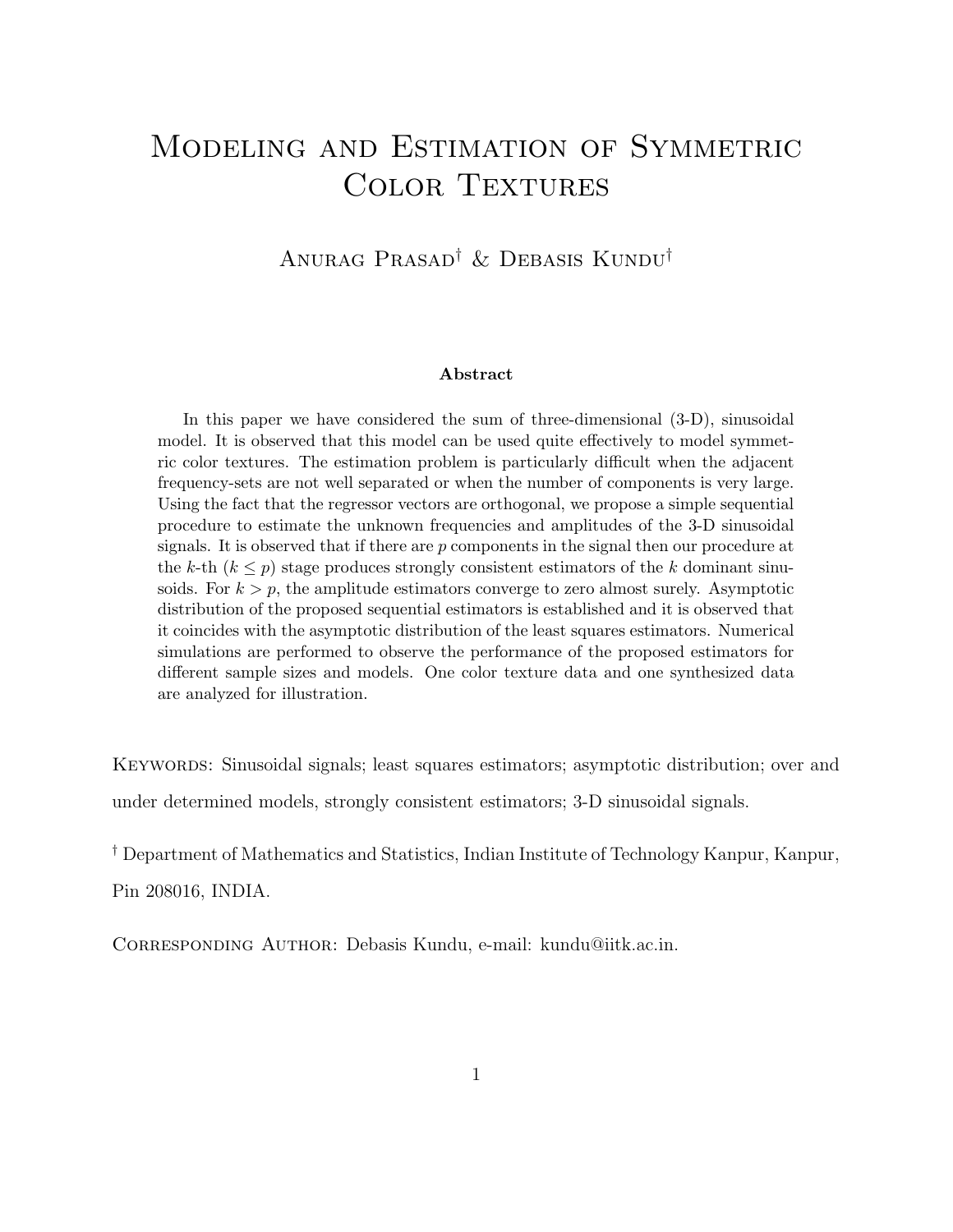# Modeling and Estimation of Symmetric COLOR TEXTURES

Anurag Prasad† & Debasis Kundu†

#### Abstract

In this paper we have considered the sum of three-dimensional (3-D), sinusoidal model. It is observed that this model can be used quite effectively to model symmetric color textures. The estimation problem is particularly difficult when the adjacent frequency-sets are not well separated or when the number of components is very large. Using the fact that the regressor vectors are orthogonal, we propose a simple sequential procedure to estimate the unknown frequencies and amplitudes of the 3-D sinusoidal signals. It is observed that if there are  $p$  components in the signal then our procedure at the k-th  $(k \leq p)$  stage produces strongly consistent estimators of the k dominant sinusoids. For  $k > p$ , the amplitude estimators converge to zero almost surely. Asymptotic distribution of the proposed sequential estimators is established and it is observed that it coincides with the asymptotic distribution of the least squares estimators. Numerical simulations are performed to observe the performance of the proposed estimators for different sample sizes and models. One color texture data and one synthesized data are analyzed for illustration.

KEYWORDS: Sinusoidal signals; least squares estimators; asymptotic distribution; over and under determined models, strongly consistent estimators; 3-D sinusoidal signals.

† Department of Mathematics and Statistics, Indian Institute of Technology Kanpur, Kanpur, Pin 208016, INDIA.

Corresponding Author: Debasis Kundu, e-mail: kundu@iitk.ac.in.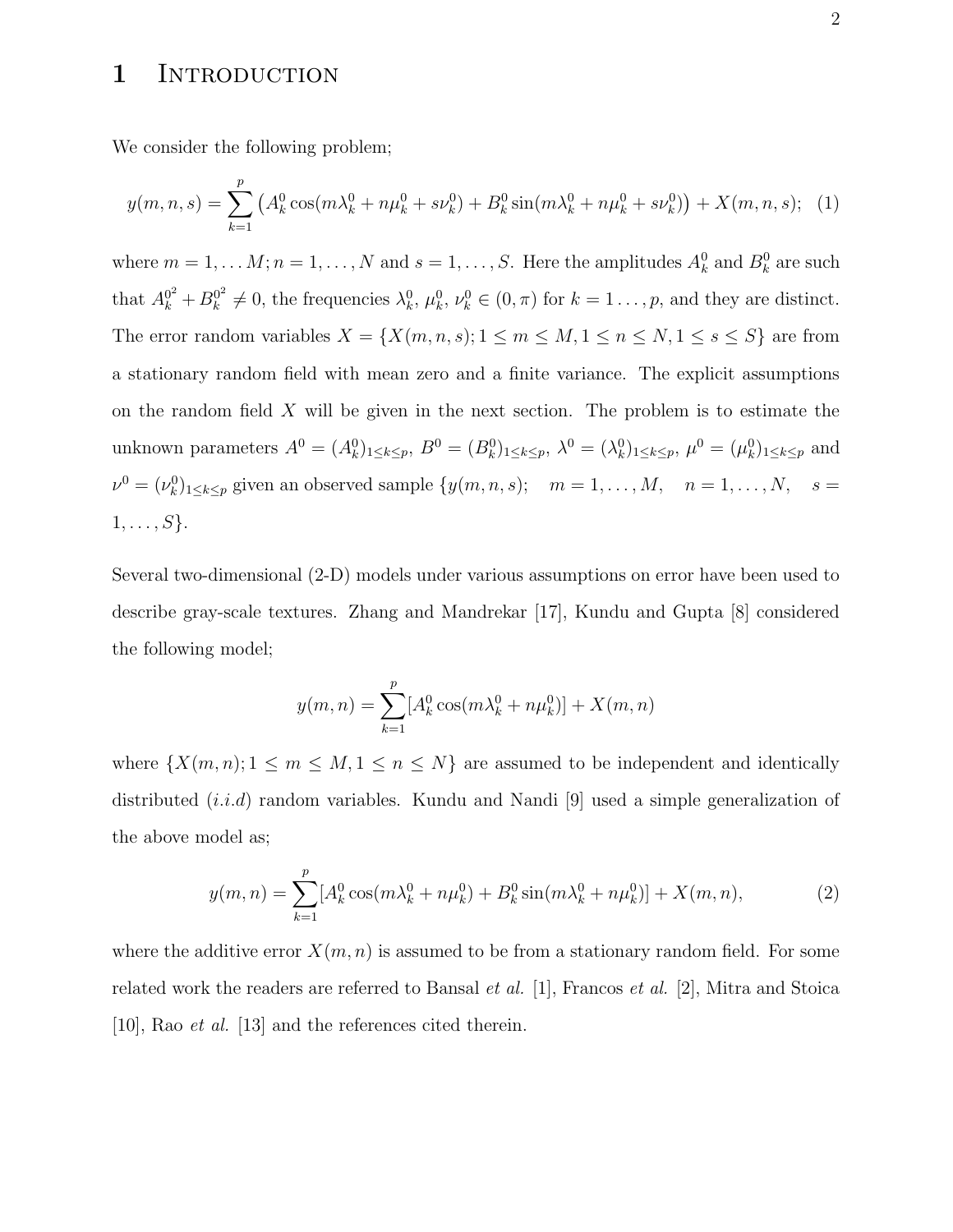### 1 INTRODUCTION

We consider the following problem;

$$
y(m, n, s) = \sum_{k=1}^{p} \left( A_k^0 \cos(m\lambda_k^0 + n\mu_k^0 + s\nu_k^0) + B_k^0 \sin(m\lambda_k^0 + n\mu_k^0 + s\nu_k^0) \right) + X(m, n, s); \tag{1}
$$

where  $m = 1, ..., M$ ;  $n = 1, ..., N$  and  $s = 1, ..., S$ . Here the amplitudes  $A_k^0$  and  $B_k^0$  are such that  $A_k^{0^2} + B_k^{0^2}$  $k_k^{0^2} \neq 0$ , the frequencies  $\lambda_k^0$ ,  $\mu_k^0$ ,  $\nu_k^0 \in (0, \pi)$  for  $k = 1, \ldots, p$ , and they are distinct. The error random variables  $X = \{X(m, n, s); 1 \le m \le M, 1 \le n \le N, 1 \le s \le S\}$  are from a stationary random field with mean zero and a finite variance. The explicit assumptions on the random field  $X$  will be given in the next section. The problem is to estimate the unknown parameters  $A^0 = (A_k^0)_{1 \le k \le p}$ ,  $B^0 = (B_k^0)_{1 \le k \le p}$ ,  $\lambda^0 = (\lambda_k^0)_{1 \le k \le p}$ ,  $\mu^0 = (\mu_k^0)_{1 \le k \le p}$  and  $\nu^0 = (\nu_k^0)_{1 \leq k \leq p}$  given an observed sample  $\{y(m, n, s); \quad m = 1, \dots, M, \quad n = 1, \dots, N, \quad s = 1, \dots, s\}$  $1, \ldots, S$ .

Several two-dimensional (2-D) models under various assumptions on error have been used to describe gray-scale textures. Zhang and Mandrekar [17], Kundu and Gupta [8] considered the following model;

$$
y(m, n) = \sum_{k=1}^{p} [A_k^0 \cos(m\lambda_k^0 + n\mu_k^0)] + X(m, n)
$$

where  $\{X(m,n); 1 \leq m \leq M, 1 \leq n \leq N\}$  are assumed to be independent and identically distributed  $(i.i.d)$  random variables. Kundu and Nandi [9] used a simple generalization of the above model as;

$$
y(m,n) = \sum_{k=1}^{p} [A_k^0 \cos(m\lambda_k^0 + n\mu_k^0) + B_k^0 \sin(m\lambda_k^0 + n\mu_k^0)] + X(m,n),
$$
 (2)

where the additive error  $X(m, n)$  is assumed to be from a stationary random field. For some related work the readers are referred to Bansal *et al.* [1], Francos *et al.* [2], Mitra and Stoica [10], Rao et al. [13] and the references cited therein.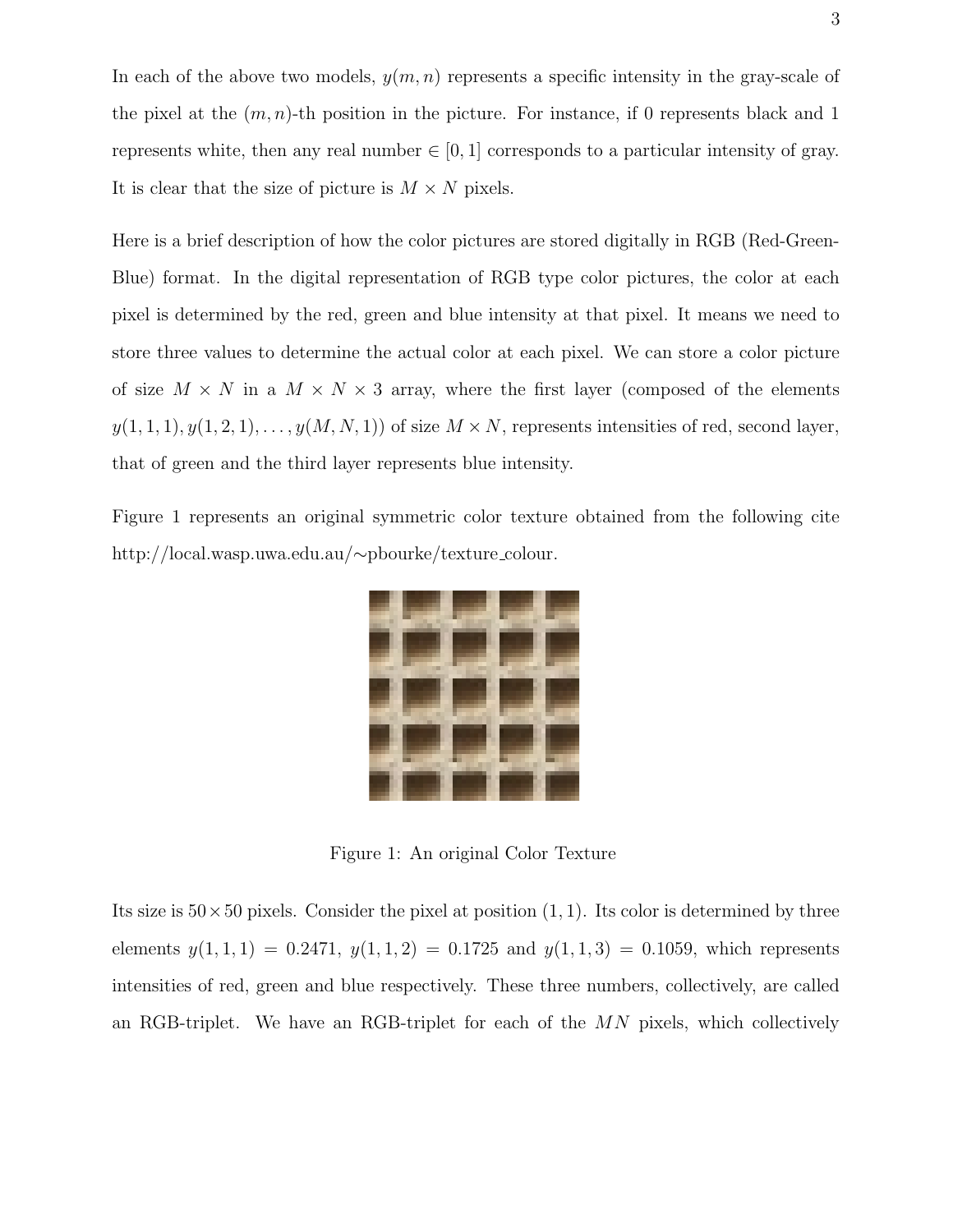In each of the above two models,  $y(m, n)$  represents a specific intensity in the gray-scale of the pixel at the  $(m, n)$ -th position in the picture. For instance, if 0 represents black and 1 represents white, then any real number  $\in [0, 1]$  corresponds to a particular intensity of gray. It is clear that the size of picture is  $M \times N$  pixels.

Here is a brief description of how the color pictures are stored digitally in RGB (Red-Green-Blue) format. In the digital representation of RGB type color pictures, the color at each pixel is determined by the red, green and blue intensity at that pixel. It means we need to store three values to determine the actual color at each pixel. We can store a color picture of size  $M \times N$  in a  $M \times N \times 3$  array, where the first layer (composed of the elements  $y(1, 1, 1), y(1, 2, 1), \ldots, y(M, N, 1))$  of size  $M \times N$ , represents intensities of red, second layer, that of green and the third layer represents blue intensity.

Figure 1 represents an original symmetric color texture obtained from the following cite http://local.wasp.uwa.edu.au/∼pbourke/texture colour.



Figure 1: An original Color Texture

Its size is  $50 \times 50$  pixels. Consider the pixel at position  $(1, 1)$ . Its color is determined by three elements  $y(1,1,1) = 0.2471$ ,  $y(1,1,2) = 0.1725$  and  $y(1,1,3) = 0.1059$ , which represents intensities of red, green and blue respectively. These three numbers, collectively, are called an RGB-triplet. We have an RGB-triplet for each of the  $MN$  pixels, which collectively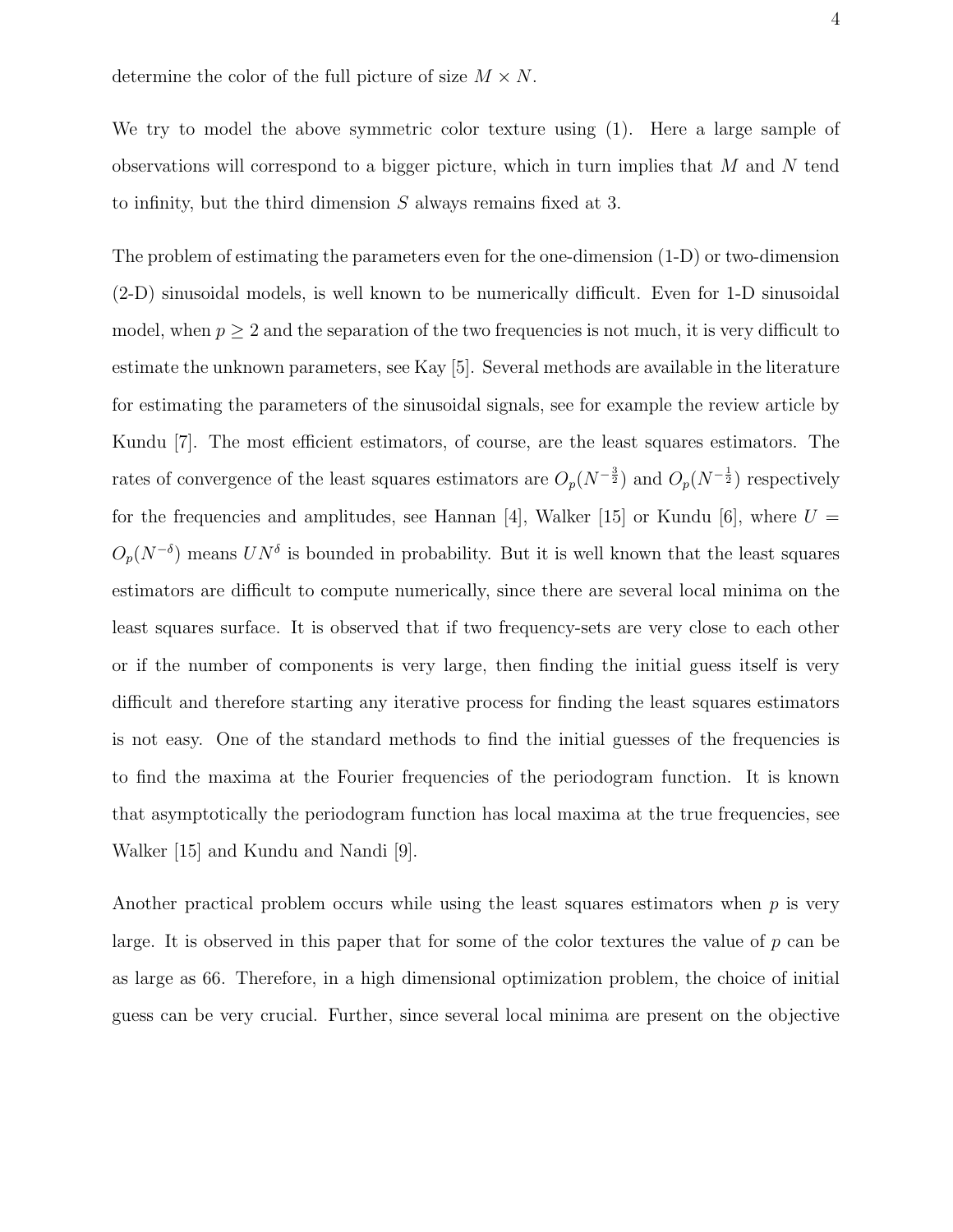determine the color of the full picture of size  $M \times N$ .

We try to model the above symmetric color texture using (1). Here a large sample of observations will correspond to a bigger picture, which in turn implies that  $M$  and  $N$  tend to infinity, but the third dimension S always remains fixed at 3.

The problem of estimating the parameters even for the one-dimension (1-D) or two-dimension (2-D) sinusoidal models, is well known to be numerically difficult. Even for 1-D sinusoidal model, when  $p \geq 2$  and the separation of the two frequencies is not much, it is very difficult to estimate the unknown parameters, see Kay [5]. Several methods are available in the literature for estimating the parameters of the sinusoidal signals, see for example the review article by Kundu [7]. The most efficient estimators, of course, are the least squares estimators. The rates of convergence of the least squares estimators are  $O_p(N^{-\frac{3}{2}})$  and  $O_p(N^{-\frac{1}{2}})$  respectively for the frequencies and amplitudes, see Hannan [4], Walker [15] or Kundu [6], where  $U =$  $O_p(N^{-\delta})$  means  $UN^{\delta}$  is bounded in probability. But it is well known that the least squares estimators are difficult to compute numerically, since there are several local minima on the least squares surface. It is observed that if two frequency-sets are very close to each other or if the number of components is very large, then finding the initial guess itself is very difficult and therefore starting any iterative process for finding the least squares estimators is not easy. One of the standard methods to find the initial guesses of the frequencies is to find the maxima at the Fourier frequencies of the periodogram function. It is known that asymptotically the periodogram function has local maxima at the true frequencies, see Walker [15] and Kundu and Nandi [9].

Another practical problem occurs while using the least squares estimators when  $p$  is very large. It is observed in this paper that for some of the color textures the value of  $p$  can be as large as 66. Therefore, in a high dimensional optimization problem, the choice of initial guess can be very crucial. Further, since several local minima are present on the objective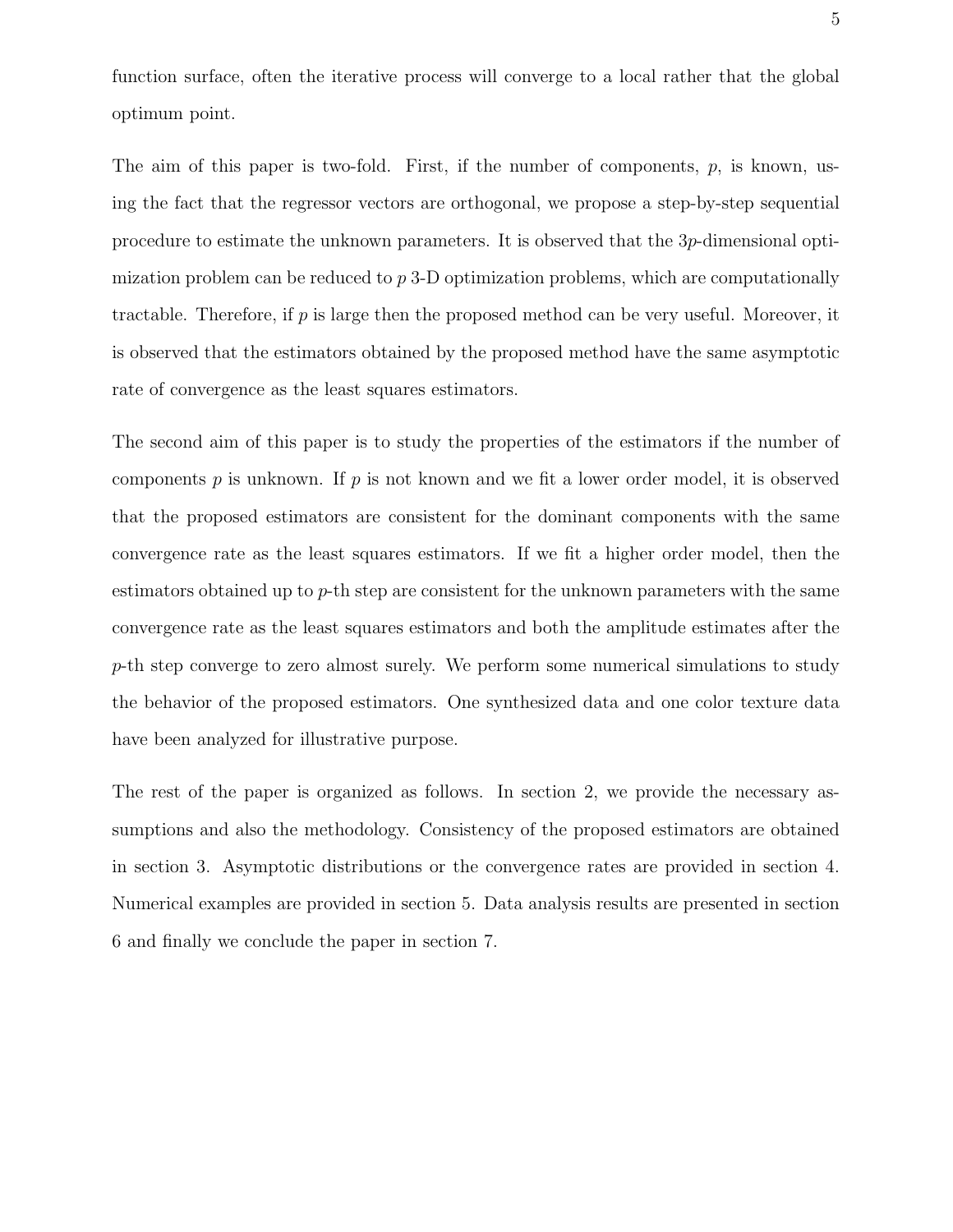function surface, often the iterative process will converge to a local rather that the global optimum point.

The aim of this paper is two-fold. First, if the number of components,  $p$ , is known, using the fact that the regressor vectors are orthogonal, we propose a step-by-step sequential procedure to estimate the unknown parameters. It is observed that the 3p-dimensional optimization problem can be reduced to p 3-D optimization problems, which are computationally tractable. Therefore, if p is large then the proposed method can be very useful. Moreover, it is observed that the estimators obtained by the proposed method have the same asymptotic rate of convergence as the least squares estimators.

The second aim of this paper is to study the properties of the estimators if the number of components  $p$  is unknown. If  $p$  is not known and we fit a lower order model, it is observed that the proposed estimators are consistent for the dominant components with the same convergence rate as the least squares estimators. If we fit a higher order model, then the estimators obtained up to  $p$ -th step are consistent for the unknown parameters with the same convergence rate as the least squares estimators and both the amplitude estimates after the p-th step converge to zero almost surely. We perform some numerical simulations to study the behavior of the proposed estimators. One synthesized data and one color texture data have been analyzed for illustrative purpose.

The rest of the paper is organized as follows. In section 2, we provide the necessary assumptions and also the methodology. Consistency of the proposed estimators are obtained in section 3. Asymptotic distributions or the convergence rates are provided in section 4. Numerical examples are provided in section 5. Data analysis results are presented in section 6 and finally we conclude the paper in section 7.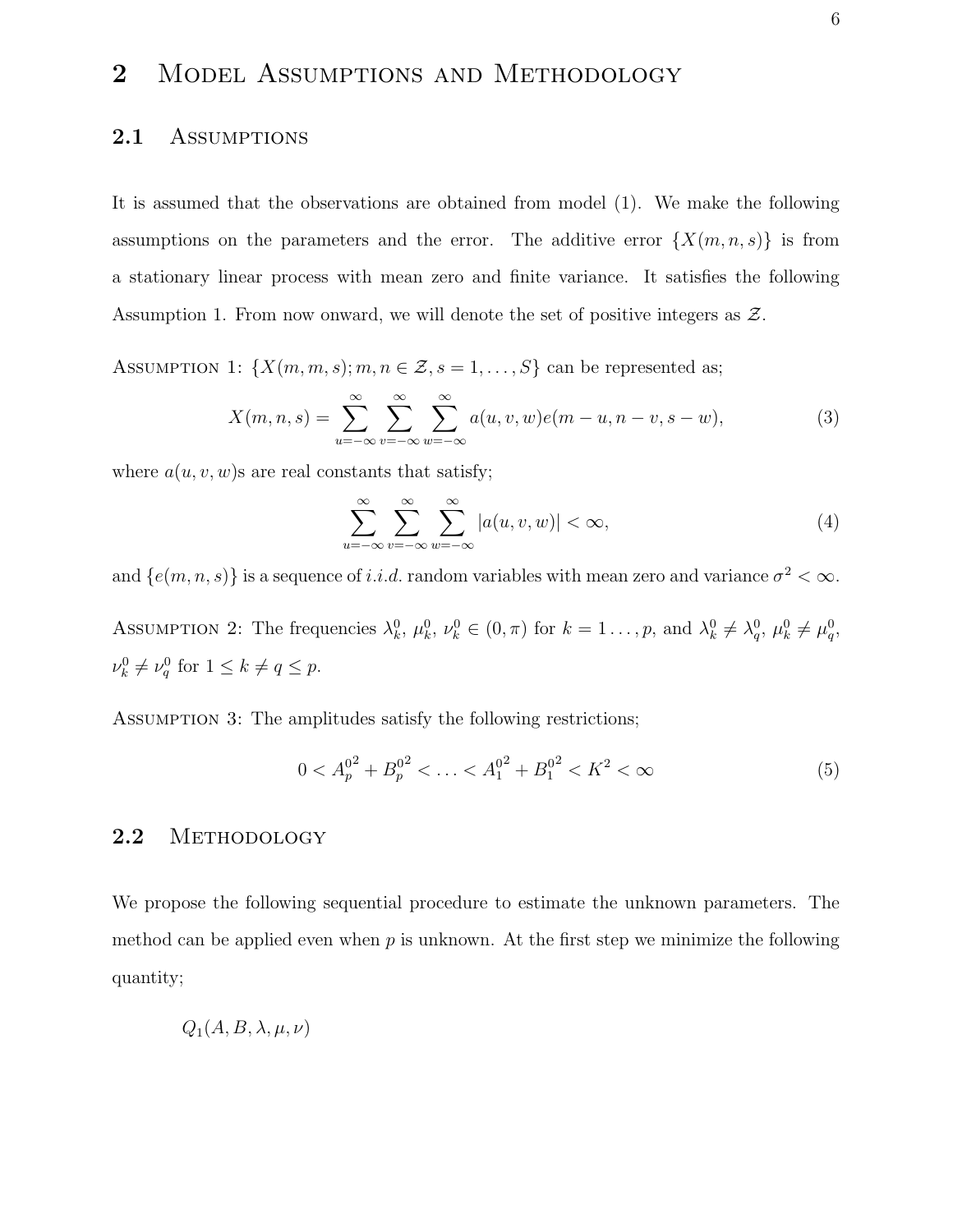## 2 MODEL ASSUMPTIONS AND METHODOLOGY

#### 2.1 ASSUMPTIONS

It is assumed that the observations are obtained from model (1). We make the following assumptions on the parameters and the error. The additive error  $\{X(m, n, s)\}\$ is from a stationary linear process with mean zero and finite variance. It satisfies the following Assumption 1. From now onward, we will denote the set of positive integers as  $\mathcal{Z}$ .

ASSUMPTION 1:  $\{X(m, m, s); m, n \in \mathcal{Z}, s = 1, ..., S\}$  can be represented as;

$$
X(m, n, s) = \sum_{u = -\infty}^{\infty} \sum_{v = -\infty}^{\infty} \sum_{w = -\infty}^{\infty} a(u, v, w)e(m - u, n - v, s - w),
$$
 (3)

where  $a(u, v, w)$ s are real constants that satisfy;

$$
\sum_{u=-\infty}^{\infty} \sum_{v=-\infty}^{\infty} \sum_{w=-\infty}^{\infty} |a(u,v,w)| < \infty,
$$
\n(4)

and  $\{e(m, n, s)\}\$ is a sequence of *i.i.d.* random variables with mean zero and variance  $\sigma^2 < \infty$ . ASSUMPTION 2: The frequencies  $\lambda_k^0$ ,  $\mu_k^0$ ,  $\nu_k^0 \in (0, \pi)$  for  $k = 1, \ldots, p$ , and  $\lambda_k^0 \neq \lambda_q^0$ ,  $\mu_k^0 \neq \mu_q^0$ ,  $\nu_k^0 \neq \nu_q^0$  for  $1 \leq k \neq q \leq p$ .

ASSUMPTION 3: The amplitudes satisfy the following restrictions;

$$
0 < A_p^{0^2} + B_p^{0^2} < \ldots < A_1^{0^2} + B_1^{0^2} < K^2 < \infty \tag{5}
$$

#### 2.2 METHODOLOGY

We propose the following sequential procedure to estimate the unknown parameters. The method can be applied even when  $p$  is unknown. At the first step we minimize the following quantity;

$$
Q_1(A, B, \lambda, \mu, \nu)
$$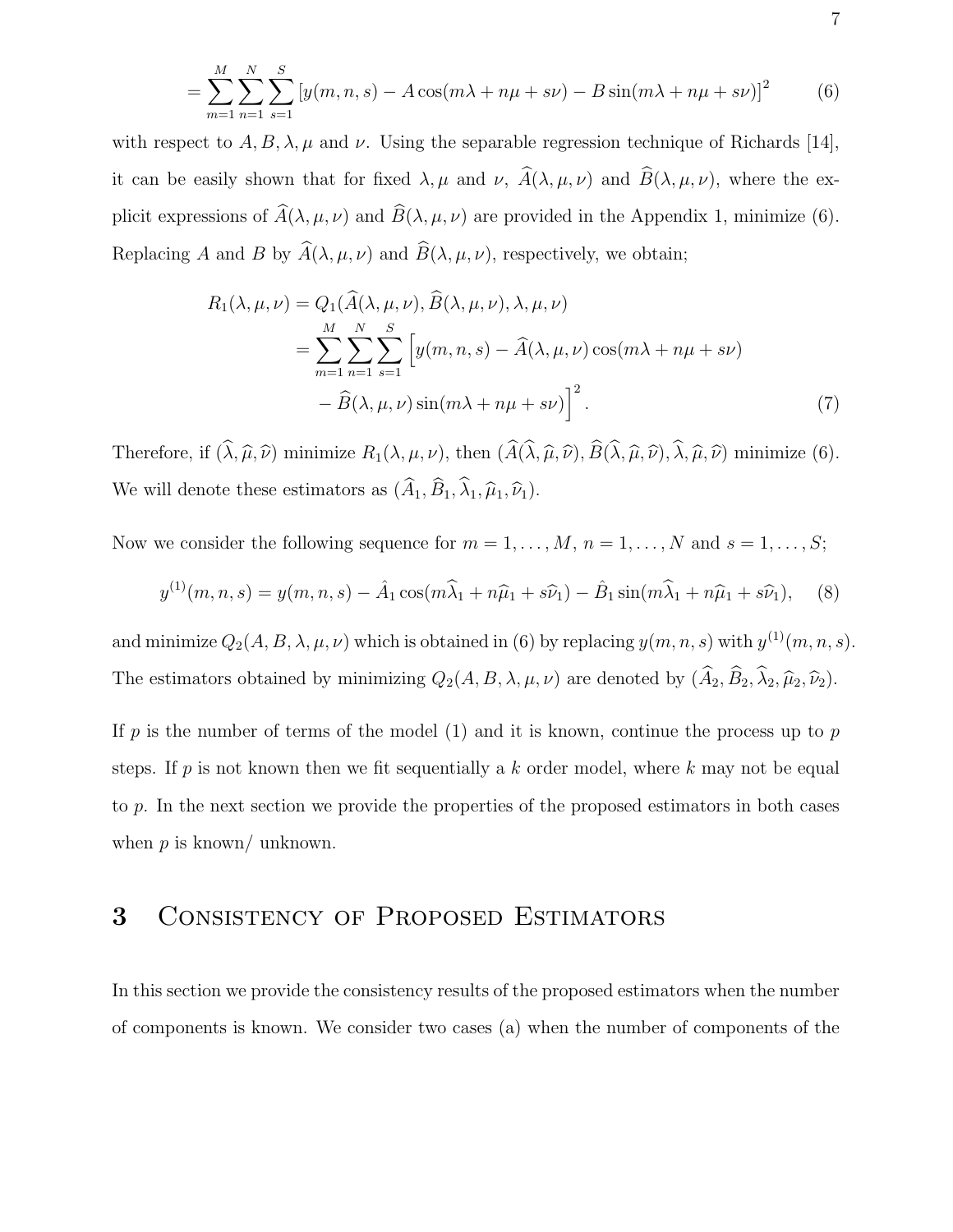$$
= \sum_{m=1}^{M} \sum_{n=1}^{N} \sum_{s=1}^{S} \left[ y(m, n, s) - A \cos(m\lambda + n\mu + s\nu) - B \sin(m\lambda + n\mu + s\nu) \right]^2 \tag{6}
$$

with respect to  $A, B, \lambda, \mu$  and  $\nu$ . Using the separable regression technique of Richards [14], it can be easily shown that for fixed  $\lambda, \mu$  and  $\nu, \hat{A}(\lambda, \mu, \nu)$  and  $\hat{B}(\lambda, \mu, \nu)$ , where the explicit expressions of  $\widehat{A}(\lambda, \mu, \nu)$  and  $\widehat{B}(\lambda, \mu, \nu)$  are provided in the Appendix 1, minimize (6). Replacing A and B by  $\widehat{A}(\lambda, \mu, \nu)$  and  $\widehat{B}(\lambda, \mu, \nu)$ , respectively, we obtain;

$$
R_1(\lambda, \mu, \nu) = Q_1(\widehat{A}(\lambda, \mu, \nu), \widehat{B}(\lambda, \mu, \nu), \lambda, \mu, \nu)
$$
  
= 
$$
\sum_{m=1}^M \sum_{n=1}^N \sum_{s=1}^S \left[ y(m, n, s) - \widehat{A}(\lambda, \mu, \nu) \cos(m\lambda + n\mu + s\nu) - \widehat{B}(\lambda, \mu, \nu) \sin(m\lambda + n\mu + s\nu) \right]^2.
$$
 (7)

Therefore, if  $(\hat{\lambda}, \hat{\mu}, \hat{\nu})$  minimize  $R_1(\lambda, \mu, \nu)$ , then  $(\hat{A}(\hat{\lambda}, \hat{\mu}, \hat{\nu}), \hat{B}(\hat{\lambda}, \hat{\mu}, \hat{\nu}), \hat{\lambda}, \hat{\mu}, \hat{\nu})$  minimize (6). We will denote these estimators as  $(\widehat{A}_1,\widehat{B}_1,\widehat{\lambda}_1,\widehat{\mu}_1,\widehat{\nu}_1).$ 

Now we consider the following sequence for  $m = 1, \ldots, M$ ,  $n = 1, \ldots, N$  and  $s = 1, \ldots, S$ ;

$$
y^{(1)}(m, n, s) = y(m, n, s) - \hat{A}_1 \cos(m\hat{\lambda}_1 + n\hat{\mu}_1 + s\hat{\nu}_1) - \hat{B}_1 \sin(m\hat{\lambda}_1 + n\hat{\mu}_1 + s\hat{\nu}_1), \quad (8)
$$

and minimize  $Q_2(A, B, \lambda, \mu, \nu)$  which is obtained in (6) by replacing  $y(m, n, s)$  with  $y^{(1)}(m, n, s)$ . The estimators obtained by minimizing  $Q_2(A, B, \lambda, \mu, \nu)$  are denoted by  $(\widehat{A}_2, \widehat{B}_2, \widehat{\lambda}_2, \widehat{\mu}_2, \widehat{\nu}_2)$ .

If p is the number of terms of the model (1) and it is known, continue the process up to  $p$ steps. If  $p$  is not known then we fit sequentially a  $k$  order model, where  $k$  may not be equal to p. In the next section we provide the properties of the proposed estimators in both cases when  $p$  is known/ unknown.

### 3 Consistency of Proposed Estimators

In this section we provide the consistency results of the proposed estimators when the number of components is known. We consider two cases (a) when the number of components of the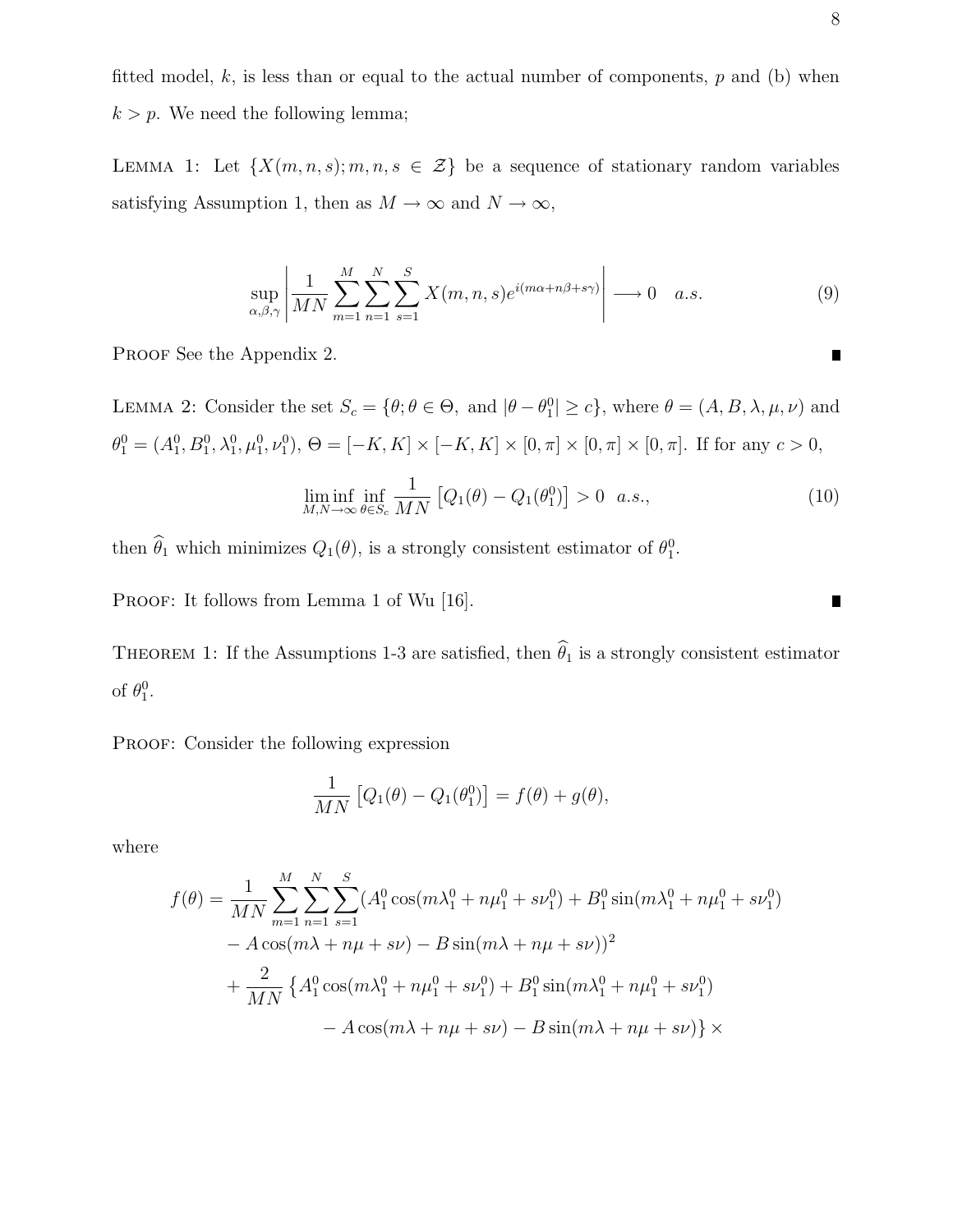fitted model,  $k$ , is less than or equal to the actual number of components,  $p$  and (b) when  $k > p$ . We need the following lemma;

LEMMA 1: Let  $\{X(m, n, s); m, n, s \in \mathcal{Z}\}\$ be a sequence of stationary random variables satisfying Assumption 1, then as  $M \to \infty$  and  $N \to \infty$ ,

$$
\sup_{\alpha,\beta,\gamma} \left| \frac{1}{MN} \sum_{m=1}^{M} \sum_{n=1}^{N} \sum_{s=1}^{S} X(m,n,s) e^{i(m\alpha + n\beta + s\gamma)} \right| \longrightarrow 0 \quad a.s. \tag{9}
$$

PROOF See the Appendix 2.

LEMMA 2: Consider the set  $S_c = \{\theta; \theta \in \Theta, \text{ and } |\theta - \theta_1^0| \ge c\}$ , where  $\theta = (A, B, \lambda, \mu, \nu)$  and  $\theta_1^0 = (A_1^0, B_1^0, \lambda_1^0, \mu_1^0, \nu_1^0), \Theta = [-K, K] \times [-K, K] \times [0, \pi] \times [0, \pi] \times [0, \pi]$ . If for any  $c > 0$ ,

$$
\liminf_{M,N \to \infty} \inf_{\theta \in S_c} \frac{1}{MN} \left[ Q_1(\theta) - Q_1(\theta_1^0) \right] > 0 \quad a.s., \tag{10}
$$

then  $\theta_1$  which minimizes  $Q_1(\theta)$ , is a strongly consistent estimator of  $\theta_1^0$ .

PROOF: It follows from Lemma 1 of Wu [16].

THEOREM 1: If the Assumptions 1-3 are satisfied, then  $\hat{\theta}_1$  is a strongly consistent estimator of  $\theta_1^0$ .

PROOF: Consider the following expression

$$
\frac{1}{MN}\left[Q_1(\theta) - Q_1(\theta_1^0)\right] = f(\theta) + g(\theta),
$$

where

$$
f(\theta) = \frac{1}{MN} \sum_{m=1}^{M} \sum_{n=1}^{N} \sum_{s=1}^{S} (A_1^0 \cos(m\lambda_1^0 + n\mu_1^0 + s\nu_1^0) + B_1^0 \sin(m\lambda_1^0 + n\mu_1^0 + s\nu_1^0) - A \cos(m\lambda + n\mu + s\nu) - B \sin(m\lambda + n\mu + s\nu))^2 + \frac{2}{MN} \left\{ A_1^0 \cos(m\lambda_1^0 + n\mu_1^0 + s\nu_1^0) + B_1^0 \sin(m\lambda_1^0 + n\mu_1^0 + s\nu_1^0) \right. - A \cos(m\lambda + n\mu + s\nu) - B \sin(m\lambda + n\mu + s\nu) \right\} \times
$$

П

П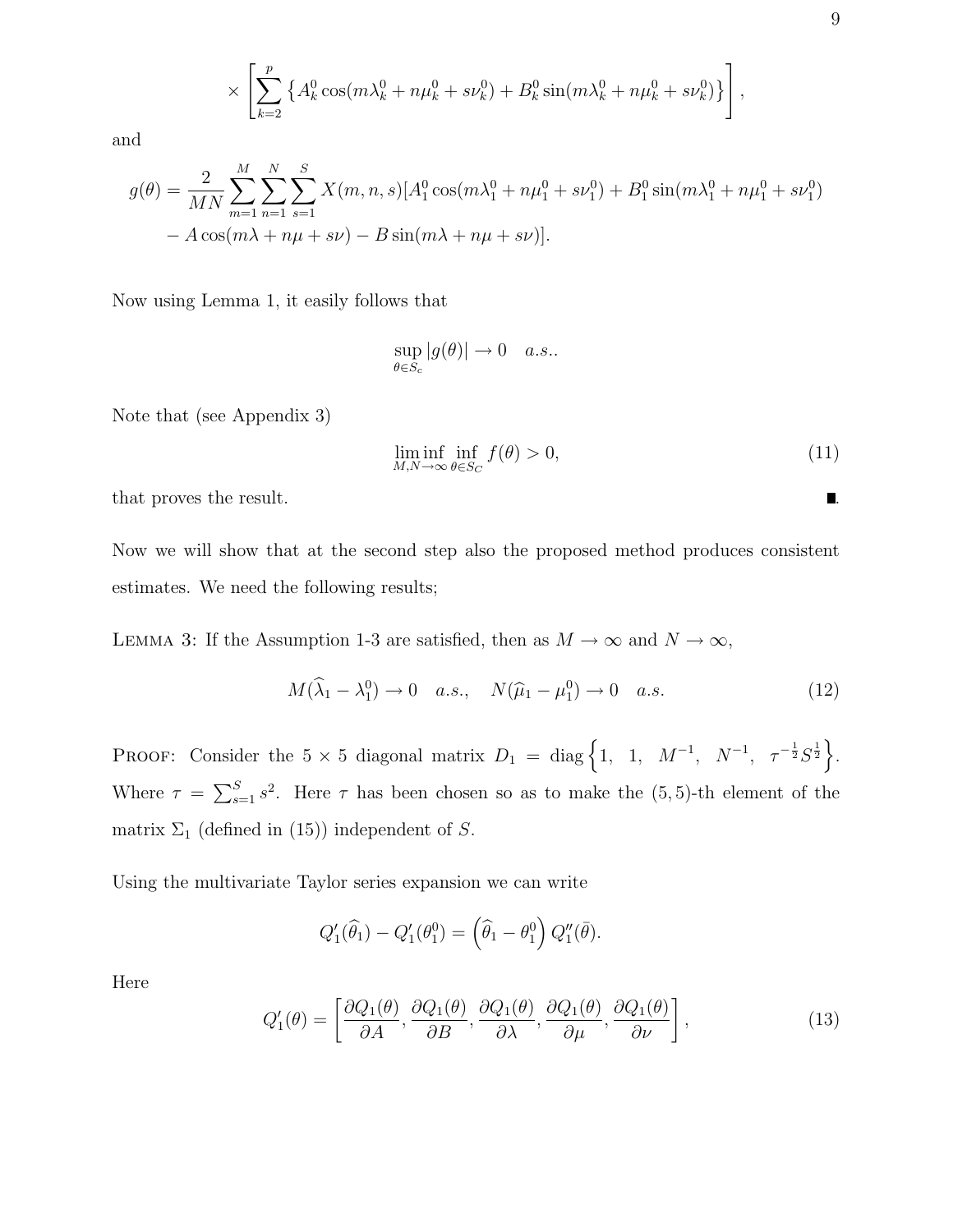$$
\times \left[ \sum_{k=2}^{p} \left\{ A_k^0 \cos(m\lambda_k^0 + n\mu_k^0 + s\nu_k^0) + B_k^0 \sin(m\lambda_k^0 + n\mu_k^0 + s\nu_k^0) \right\} \right],
$$

and

$$
g(\theta) = \frac{2}{MN} \sum_{m=1}^{M} \sum_{n=1}^{N} \sum_{s=1}^{S} X(m, n, s) [A_1^0 \cos(m\lambda_1^0 + n\mu_1^0 + s\nu_1^0) + B_1^0 \sin(m\lambda_1^0 + n\mu_1^0 + s\nu_1^0) - A \cos(m\lambda + n\mu + s\nu) - B \sin(m\lambda + n\mu + s\nu)].
$$

Now using Lemma 1, it easily follows that

$$
\sup_{\theta \in S_c} |g(\theta)| \to 0 \quad a.s..
$$

Note that (see Appendix 3)

$$
\liminf_{M,N \to \infty} \inf_{\theta \in S_C} f(\theta) > 0,\tag{11}
$$

that proves the result.  $\blacksquare$ 

Now we will show that at the second step also the proposed method produces consistent estimates. We need the following results;

LEMMA 3: If the Assumption 1-3 are satisfied, then as  $M \to \infty$  and  $N \to \infty$ ,

$$
M(\widehat{\lambda}_1 - \lambda_1^0) \to 0 \quad a.s., \quad N(\widehat{\mu}_1 - \mu_1^0) \to 0 \quad a.s.
$$
 (12)

PROOF: Consider the  $5 \times 5$  diagonal matrix  $D_1 = \text{diag} \left\{ 1, 1, M^{-1}, N^{-1}, \tau^{-\frac{1}{2}} S^{\frac{1}{2}} \right\}.$ Where  $\tau = \sum_{s=1}^{S} s^2$ . Here  $\tau$  has been chosen so as to make the (5,5)-th element of the matrix  $\Sigma_1$  (defined in (15)) independent of S.

Using the multivariate Taylor series expansion we can write

$$
Q_1'(\widehat{\theta}_1) - Q_1'(\theta_1^0) = (\widehat{\theta}_1 - \theta_1^0) Q_1''(\overline{\theta}).
$$

Here

$$
Q_1'(\theta) = \left[ \frac{\partial Q_1(\theta)}{\partial A}, \frac{\partial Q_1(\theta)}{\partial B}, \frac{\partial Q_1(\theta)}{\partial \lambda}, \frac{\partial Q_1(\theta)}{\partial \mu}, \frac{\partial Q_1(\theta)}{\partial \nu} \right],
$$
(13)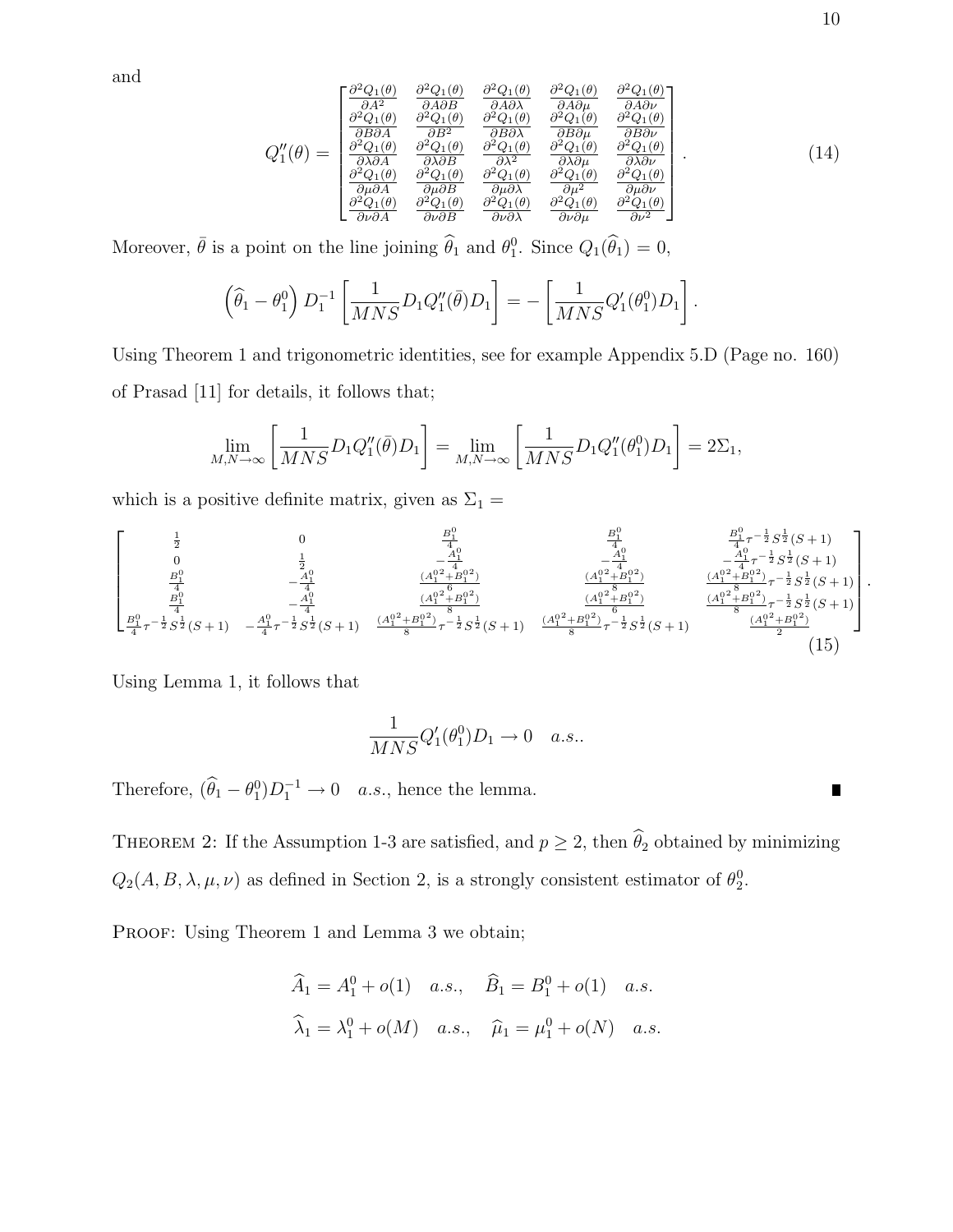and

$$
Q''_1(\theta) = \begin{bmatrix} \frac{\partial^2 Q_1(\theta)}{\partial A^2} & \frac{\partial^2 Q_1(\theta)}{\partial A \partial B} & \frac{\partial^2 Q_1(\theta)}{\partial A \partial \lambda} & \frac{\partial^2 Q_1(\theta)}{\partial A \partial \mu} & \frac{\partial^2 Q_1(\theta)}{\partial A \partial \nu} \\ \frac{\partial^2 Q_1(\theta)}{\partial B \partial A} & \frac{\partial^2 Q_1(\theta)}{\partial B^2} & \frac{\partial^2 Q_1(\theta)}{\partial B \partial \lambda} & \frac{\partial^2 Q_1(\theta)}{\partial B \partial \mu} & \frac{\partial^2 Q_1(\theta)}{\partial B \partial \nu} \\ \frac{\partial^2 Q_1(\theta)}{\partial A \partial A} & \frac{\partial^2 Q_1(\theta)}{\partial A \partial B} & \frac{\partial^2 Q_1(\theta)}{\partial A^2} & \frac{\partial^2 Q_1(\theta)}{\partial A \partial \mu} & \frac{\partial^2 Q_1(\theta)}{\partial A^2 \partial \mu} \\ \frac{\partial^2 Q_1(\theta)}{\partial \mu \partial A} & \frac{\partial^2 Q_1(\theta)}{\partial \mu \partial B} & \frac{\partial^2 Q_1(\theta)}{\partial \mu \partial \lambda} & \frac{\partial^2 Q_1(\theta)}{\partial \mu \partial \lambda} & \frac{\partial^2 Q_1(\theta)}{\partial \nu \partial \mu} \\ \frac{\partial^2 Q_1(\theta)}{\partial \nu \partial A} & \frac{\partial^2 Q_1(\theta)}{\partial \nu \partial B} & \frac{\partial^2 Q_1(\theta)}{\partial \nu \partial \lambda} & \frac{\partial^2 Q_1(\theta)}{\partial \nu \partial \mu} & \frac{\partial^2 Q_1(\theta)}{\partial \nu^2} \end{bmatrix} . \tag{14}
$$

Moreover,  $\bar{\theta}$  is a point on the line joining  $\hat{\theta}_1$  and  $\theta_1^0$ . Since  $Q_1(\hat{\theta}_1) = 0$ ,

$$
\left(\widehat{\theta}_1 - \theta_1^0\right)D_1^{-1}\left[\frac{1}{MNS}D_1Q_1''(\bar{\theta})D_1\right] = -\left[\frac{1}{MNS}Q_1'(\theta_1^0)D_1\right].
$$

Using Theorem 1 and trigonometric identities, see for example Appendix 5.D (Page no. 160) of Prasad [11] for details, it follows that;

$$
\lim_{M,N\to\infty}\left[\frac{1}{MNS}D_1Q_1''(\bar{\theta})D_1\right]=\lim_{M,N\to\infty}\left[\frac{1}{MNS}D_1Q_1''(\theta_1^0)D_1\right]=2\Sigma_1,
$$

which is a positive definite matrix, given as  $\Sigma_1 =$ 

$$
\begin{bmatrix}\n\frac{1}{2} & 0 & \frac{B_1^0}{4} & \frac{B_1^0}{4} & \frac{B_1^0}{4} \tau^{-\frac{1}{2}} S^{\frac{1}{2}}(S+1) \\
0 & \frac{1}{2} & -\frac{A_1^0}{4} & -\frac{A_1^0}{4} & -\frac{A_1^0}{4} \tau^{-\frac{1}{2}} S^{\frac{1}{2}}(S+1) \\
\frac{B_1^0}{4} & -\frac{A_1^0}{4} & \frac{(A_1^{02} + B_1^{02})}{4} & \frac{(A_1^{02} + B_1^{02})}{8} & \frac{(A_1^{02} + B_1^{02})}{8} \tau^{-\frac{1}{2}} S^{\frac{1}{2}}(S+1) \\
\frac{B_1^0}{4} \tau^{-\frac{1}{2}} S^{\frac{1}{2}}(S+1) & -\frac{A_1^0}{4} \tau^{-\frac{1}{2}} S^{\frac{1}{2}}(S+1) & \frac{(A_1^{02} + B_1^{02})}{8} \tau^{-\frac{1}{2}} S^{\frac{1}{2}}(S+1) & \frac{(A_1^{02} + B_1^{02})}{8} \tau^{-\frac{1}{2}} S^{\frac{1}{2}}(S+1) \\
\frac{B_1^0}{4} \tau^{-\frac{1}{2}} S^{\frac{1}{2}}(S+1) & -\frac{A_1^0}{4} \tau^{-\frac{1}{2}} S^{\frac{1}{2}}(S+1) & \frac{(A_1^{02} + B_1^{02})}{8} \tau^{-\frac{1}{2}} S^{\frac{1}{2}}(S+1) & \frac{(A_1^{02} + B_1^{02})}{8} \tau^{-\frac{1}{2}} S^{\frac{1}{2}}(S+1) & \frac{(A_1^{02} + B_1^{02})}{2} \end{bmatrix}
$$
\n
$$
(15)
$$

Using Lemma 1, it follows that

$$
\frac{1}{MNS}Q_1'(\theta_1^0)D_1 \to 0 \quad a.s..
$$

Therefore,  $(\hat{\theta}_1 - \theta_1^0) D_1^{-1} \to 0$  *a.s.*, hence the lemma.

THEOREM 2: If the Assumption 1-3 are satisfied, and  $p \ge 2$ , then  $\widehat{\theta}_2$  obtained by minimizing  $Q_2(A, B, \lambda, \mu, \nu)$  as defined in Section 2, is a strongly consistent estimator of  $\theta_2^0$ .

PROOF: Using Theorem 1 and Lemma 3 we obtain;

$$
\widehat{A}_1 = A_1^0 + o(1) \quad a.s., \quad \widehat{B}_1 = B_1^0 + o(1) \quad a.s.
$$
  

$$
\widehat{\lambda}_1 = \lambda_1^0 + o(M) \quad a.s., \quad \widehat{\mu}_1 = \mu_1^0 + o(N) \quad a.s.
$$

 $\blacksquare$ 

.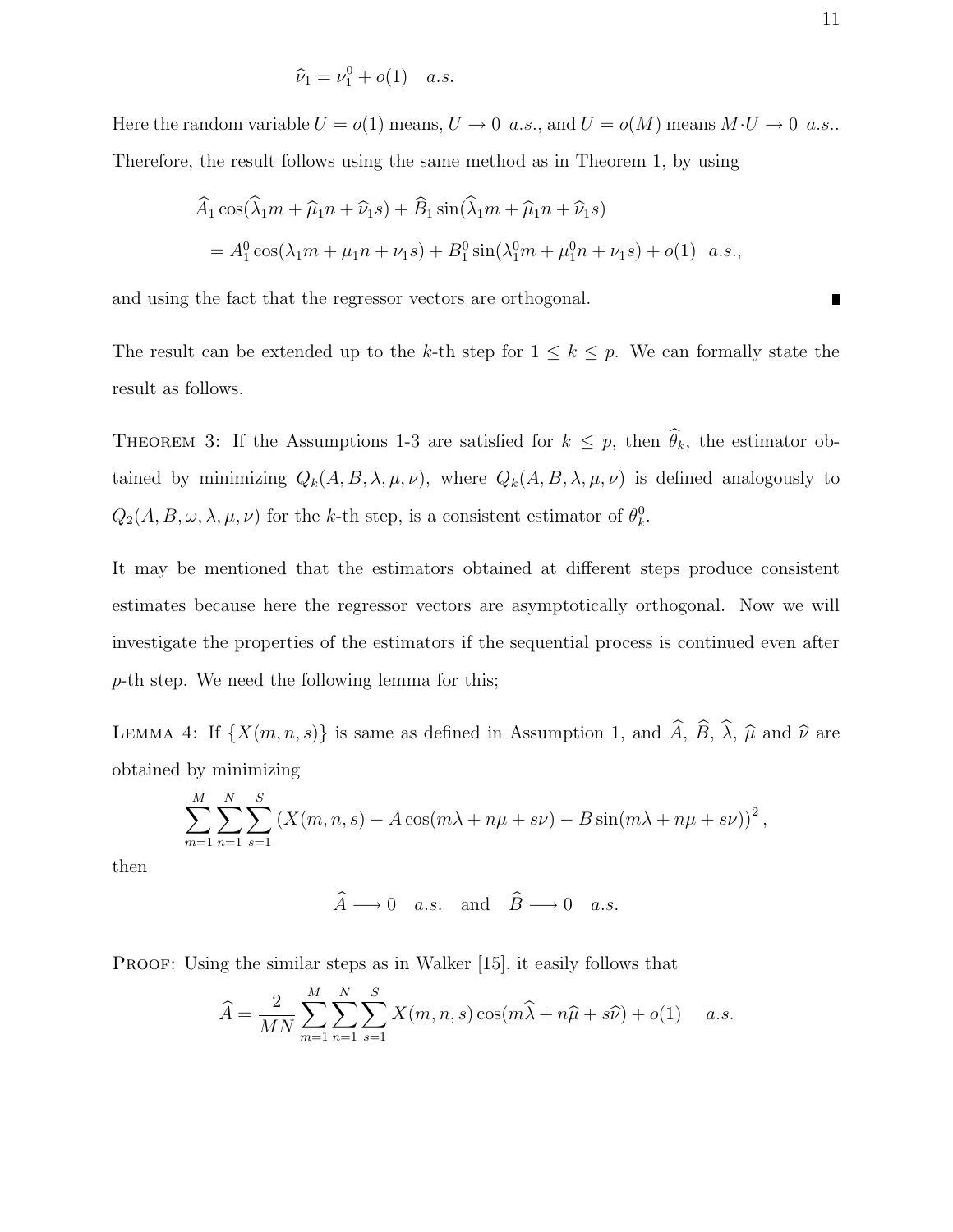$$
\widehat{\nu}_1 = \nu_1^0 + o(1) \quad a.s.
$$

Here the random variable  $U = o(1)$  means,  $U \to 0$  a.s., and  $U = o(M)$  means  $M \cdot U \to 0$  a.s.. Therefore, the result follows using the same method as in Theorem 1, by using

$$
\hat{A}_1 \cos(\hat{\lambda}_1 m + \hat{\mu}_1 n + \hat{\nu}_1 s) + \hat{B}_1 \sin(\hat{\lambda}_1 m + \hat{\mu}_1 n + \hat{\nu}_1 s)
$$
  
=  $A_1^0 \cos(\lambda_1 m + \mu_1 n + \nu_1 s) + B_1^0 \sin(\lambda_1^0 m + \mu_1^0 n + \nu_1 s) + o(1)$  a.s.,

and using the fact that the regressor vectors are orthogonal.

The result can be extended up to the k-th step for  $1 \leq k \leq p$ . We can formally state the result as follows.

THEOREM 3: If the Assumptions 1-3 are satisfied for  $k \leq p$ , then  $\hat{\theta}_k$ , the estimator obtained by minimizing  $Q_k(A, B, \lambda, \mu, \nu)$ , where  $Q_k(A, B, \lambda, \mu, \nu)$  is defined analogously to  $Q_2(A, B, \omega, \lambda, \mu, \nu)$  for the k-th step, is a consistent estimator of  $\theta_k^0$ .

It may be mentioned that the estimators obtained at different steps produce consistent estimates because here the regressor vectors are asymptotically orthogonal. Now we will investigate the properties of the estimators if the sequential process is continued even after p-th step. We need the following lemma for this;

LEMMA 4: If  $\{X(m, n, s)\}\)$  is same as defined in Assumption 1, and  $\widehat{A}$ ,  $\widehat{B}$ ,  $\widehat{\lambda}$ ,  $\widehat{\mu}$  and  $\widehat{\nu}$  are obtained by minimizing

$$
\sum_{m=1}^{M} \sum_{n=1}^{N} \sum_{s=1}^{S} (X(m, n, s) - A \cos(m\lambda + n\mu + s\nu) - B \sin(m\lambda + n\mu + s\nu))^2,
$$

then

$$
\widehat{A} \longrightarrow 0 \quad a.s. \quad \text{and} \quad \widehat{B} \longrightarrow 0 \quad a.s.
$$

PROOF: Using the similar steps as in Walker [15], it easily follows that

$$
\widehat{A} = \frac{2}{MN} \sum_{m=1}^{M} \sum_{n=1}^{N} \sum_{s=1}^{S} X(m, n, s) \cos(m\widehat{\lambda} + n\widehat{\mu} + s\widehat{\nu}) + o(1) \quad a.s.
$$

 $\blacksquare$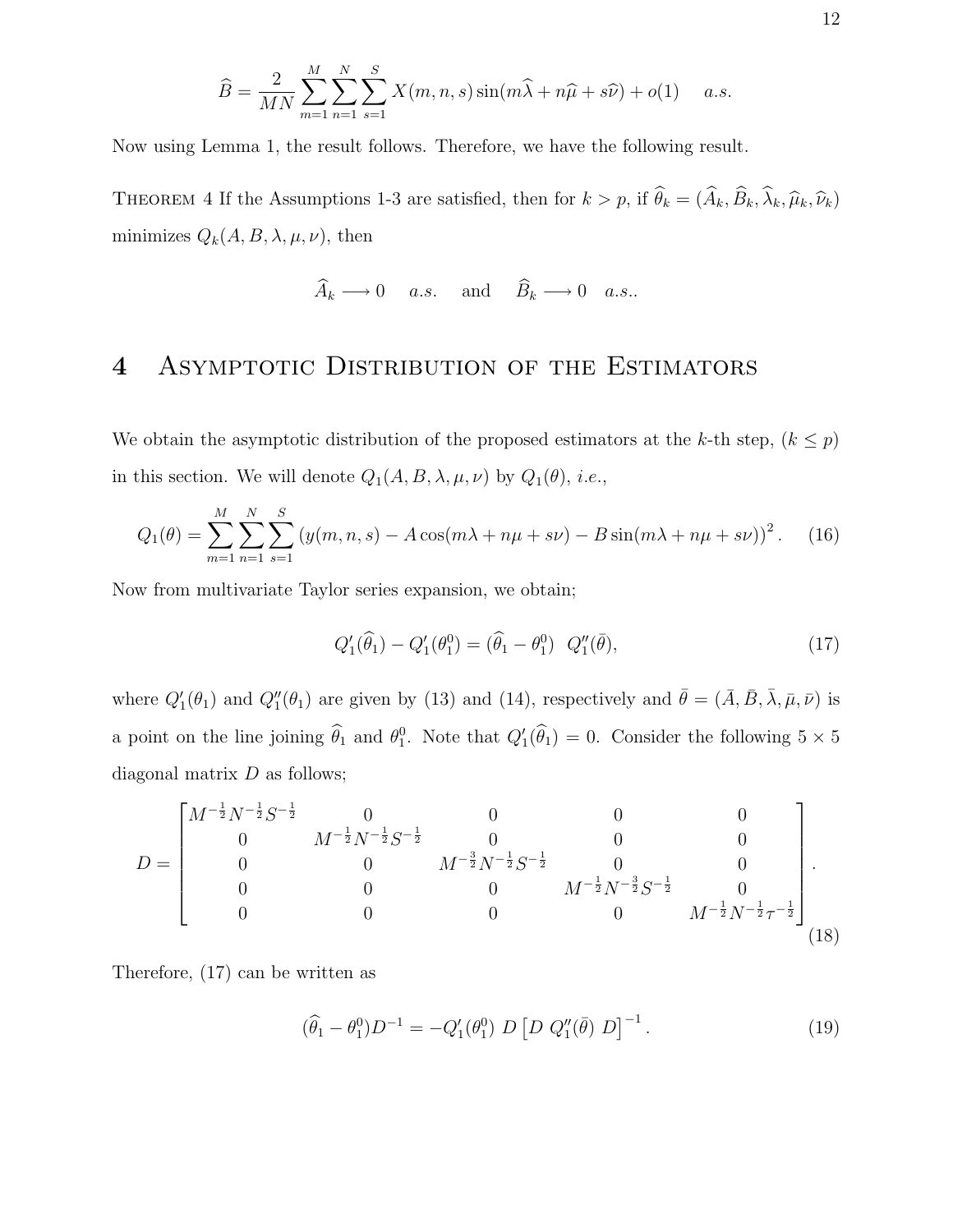$$
\widehat{B} = \frac{2}{MN} \sum_{m=1}^{M} \sum_{n=1}^{N} \sum_{s=1}^{S} X(m, n, s) \sin(m\widehat{\lambda} + n\widehat{\mu} + s\widehat{\nu}) + o(1) \quad a.s.
$$

Now using Lemma 1, the result follows. Therefore, we have the following result.

THEOREM 4 If the Assumptions 1-3 are satisfied, then for  $k > p$ , if  $\hat{\theta}_k = (\hat{A}_k, \hat{B}_k, \hat{\lambda}_k, \hat{\mu}_k, \hat{\nu}_k)$ minimizes  $Q_k(A, B, \lambda, \mu, \nu)$ , then

$$
A_k \longrightarrow 0
$$
 a.s. and  $B_k \longrightarrow 0$  a.s..

### 4 ASYMPTOTIC DISTRIBUTION OF THE ESTIMATORS

We obtain the asymptotic distribution of the proposed estimators at the k-th step,  $(k \leq p)$ in this section. We will denote  $Q_1(A, B, \lambda, \mu, \nu)$  by  $Q_1(\theta)$ , *i.e.*,

$$
Q_1(\theta) = \sum_{m=1}^{M} \sum_{n=1}^{N} \sum_{s=1}^{S} (y(m, n, s) - A \cos(m\lambda + n\mu + s\nu) - B \sin(m\lambda + n\mu + s\nu))^2.
$$
 (16)

Now from multivariate Taylor series expansion, we obtain;

$$
Q_1'(\hat{\theta}_1) - Q_1'(\theta_1^0) = (\hat{\theta}_1 - \theta_1^0) \ Q_1''(\bar{\theta}), \tag{17}
$$

where  $Q'_1(\theta_1)$  and  $Q''_1(\theta_1)$  are given by (13) and (14), respectively and  $\bar{\theta} = (\bar{A}, \bar{B}, \bar{\lambda}, \bar{\mu}, \bar{\nu})$  is a point on the line joining  $\hat{\theta}_1$  and  $\theta_1^0$ . Note that  $Q'_1(\hat{\theta}_1) = 0$ . Consider the following  $5 \times 5$ diagonal matrix  $D$  as follows;

$$
D = \begin{bmatrix} M^{-\frac{1}{2}}N^{-\frac{1}{2}}S^{-\frac{1}{2}} & 0 & 0 & 0 & 0 \\ 0 & M^{-\frac{1}{2}}N^{-\frac{1}{2}}S^{-\frac{1}{2}} & 0 & 0 & 0 \\ 0 & 0 & M^{-\frac{3}{2}}N^{-\frac{1}{2}}S^{-\frac{1}{2}} & 0 & 0 \\ 0 & 0 & 0 & M^{-\frac{1}{2}}N^{-\frac{3}{2}}S^{-\frac{1}{2}} & 0 \\ 0 & 0 & 0 & 0 & M^{-\frac{1}{2}}N^{-\frac{3}{2}}T^{-\frac{1}{2}} \end{bmatrix}.
$$
\n(18)

Therefore, (17) can be written as

$$
(\hat{\theta}_1 - \theta_1^0)D^{-1} = -Q_1'(\theta_1^0) D [D Q_1''(\bar{\theta}) D]^{-1}.
$$
\n(19)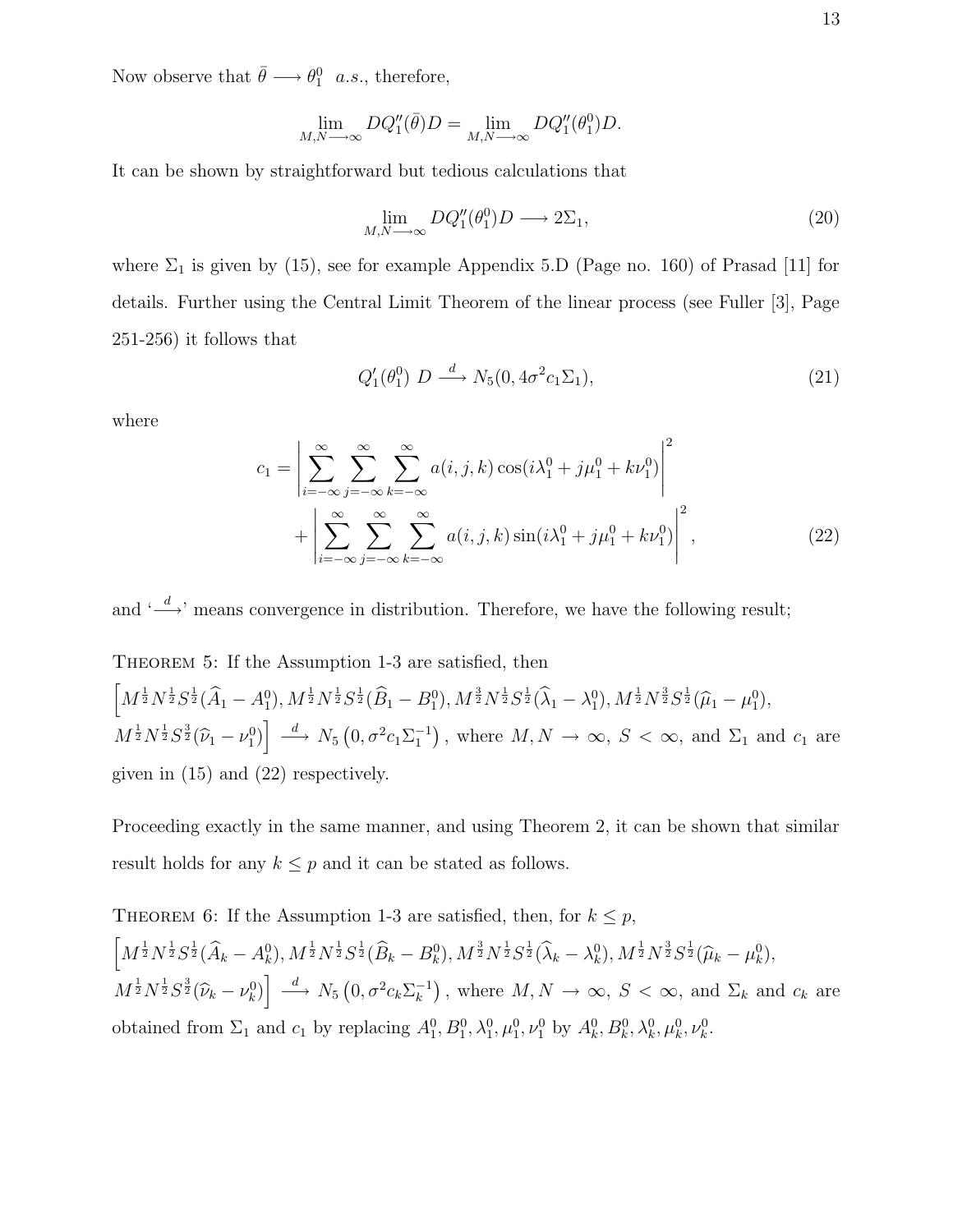Now observe that  $\bar{\theta} \longrightarrow \theta_1^0$  a.s., therefore,

$$
\lim_{M,N\longrightarrow\infty}DQ_1''(\bar{\theta})D=\lim_{M,N\longrightarrow\infty}DQ_1''(\theta_1^0)D.
$$

It can be shown by straightforward but tedious calculations that

$$
\lim_{M,N \to \infty} DQ_1''(\theta_1^0)D \to 2\Sigma_1,\tag{20}
$$

where  $\Sigma_1$  is given by (15), see for example Appendix 5.D (Page no. 160) of Prasad [11] for details. Further using the Central Limit Theorem of the linear process (see Fuller [3], Page 251-256) it follows that

$$
Q_1'(\theta_1^0) D \xrightarrow{d} N_5(0, 4\sigma^2 c_1 \Sigma_1), \tag{21}
$$

where

$$
c_{1} = \left| \sum_{i=-\infty}^{\infty} \sum_{j=-\infty}^{\infty} \sum_{k=-\infty}^{\infty} a(i, j, k) \cos(i\lambda_{1}^{0} + j\mu_{1}^{0} + k\nu_{1}^{0}) \right|^{2} + \left| \sum_{i=-\infty}^{\infty} \sum_{j=-\infty}^{\infty} \sum_{k=-\infty}^{\infty} a(i, j, k) \sin(i\lambda_{1}^{0} + j\mu_{1}^{0} + k\nu_{1}^{0}) \right|^{2},
$$
\n(22)

and  $\leftarrow d$ , means convergence in distribution. Therefore, we have the following result;

THEOREM 5: If the Assumption 1-3 are satisfied, then  $\Big[M^{\frac{1}{2}}N^{\frac{1}{2}}S^{\frac{1}{2}}(\widehat{A}_1-A_1^0), M^{\frac{1}{2}}N^{\frac{1}{2}}S^{\frac{1}{2}}(\widehat{B}_1-B_1^0), M^{\frac{3}{2}}N^{\frac{1}{2}}S^{\frac{1}{2}}(\widehat{\lambda}_1-\lambda_1^0), M^{\frac{1}{2}}N^{\frac{3}{2}}S^{\frac{1}{2}}(\widehat{\mu}_1-\mu_1^0),$  $M^{\frac{1}{2}}N^{\frac{1}{2}}S^{\frac{3}{2}}(\widehat{\nu}_1-\nu_1^0)\right] \stackrel{d}{\longrightarrow} N_5(0,\sigma^2c_1\Sigma_1^{-1}),$  where  $M,N \to \infty$ ,  $S < \infty$ , and  $\Sigma_1$  and  $c_1$  are given in (15) and (22) respectively.

Proceeding exactly in the same manner, and using Theorem 2, it can be shown that similar result holds for any  $k \leq p$  and it can be stated as follows.

THEOREM 6: If the Assumption 1-3 are satisfied, then, for 
$$
k \leq p
$$
,  
\n
$$
\left[M^{\frac{1}{2}}N^{\frac{1}{2}}S^{\frac{1}{2}}(\widehat{A}_k - A_k^0), M^{\frac{1}{2}}N^{\frac{1}{2}}S^{\frac{1}{2}}(\widehat{B}_k - B_k^0), M^{\frac{3}{2}}N^{\frac{1}{2}}S^{\frac{1}{2}}(\widehat{\lambda}_k - \lambda_k^0), M^{\frac{1}{2}}N^{\frac{3}{2}}S^{\frac{1}{2}}(\widehat{\mu}_k - \mu_k^0), M^{\frac{1}{2}}N^{\frac{1}{2}}S^{\frac{3}{2}}(\widehat{\nu}_k - \nu_k^0)\right] \xrightarrow{d} N_5 (0, \sigma^2 c_k \Sigma_k^{-1}), \text{ where } M, N \to \infty, S < \infty, \text{ and } \Sigma_k \text{ and } c_k \text{ are obtained from } \Sigma_1 \text{ and } c_1 \text{ by replacing } A_1^0, B_1^0, \lambda_1^0, \mu_1^0, \nu_1^0 \text{ by } A_k^0, B_k^0, \lambda_k^0, \mu_k^0, \nu_k^0.
$$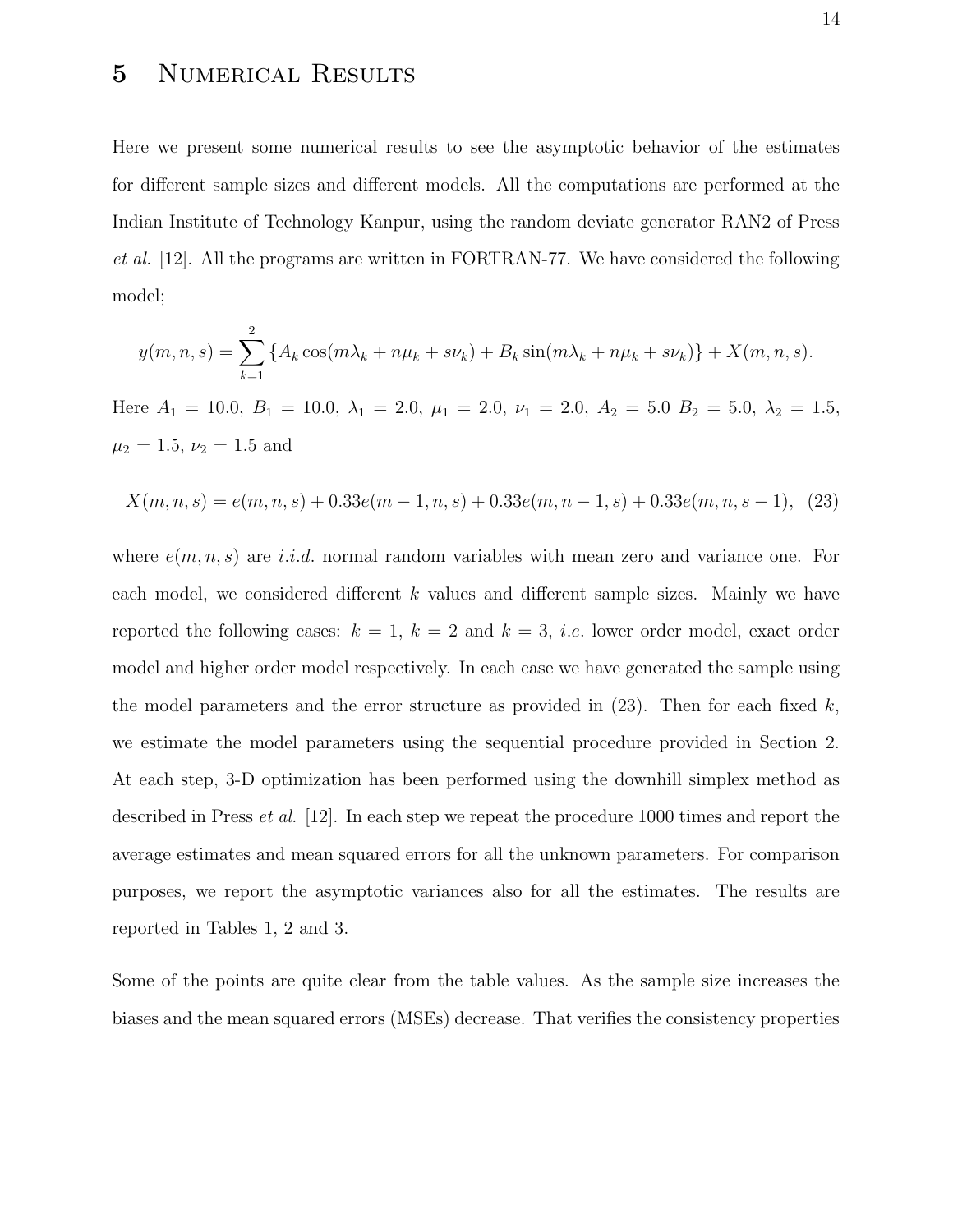## 5 Numerical Results

Here we present some numerical results to see the asymptotic behavior of the estimates for different sample sizes and different models. All the computations are performed at the Indian Institute of Technology Kanpur, using the random deviate generator RAN2 of Press et al. [12]. All the programs are written in FORTRAN-77. We have considered the following model;

$$
y(m, n, s) = \sum_{k=1}^{2} \{ A_k \cos(m\lambda_k + n\mu_k + s\nu_k) + B_k \sin(m\lambda_k + n\mu_k + s\nu_k) \} + X(m, n, s).
$$

Here  $A_1 = 10.0, B_1 = 10.0, \lambda_1 = 2.0, \mu_1 = 2.0, \nu_1 = 2.0, A_2 = 5.0, B_2 = 5.0, \lambda_2 = 1.5,$  $\mu_2 = 1.5, \nu_2 = 1.5$  and

$$
X(m, n, s) = e(m, n, s) + 0.33e(m - 1, n, s) + 0.33e(m, n - 1, s) + 0.33e(m, n, s - 1), \tag{23}
$$

where  $e(m, n, s)$  are i.i.d. normal random variables with mean zero and variance one. For each model, we considered different k values and different sample sizes. Mainly we have reported the following cases:  $k = 1, k = 2$  and  $k = 3$ , *i.e.* lower order model, exact order model and higher order model respectively. In each case we have generated the sample using the model parameters and the error structure as provided in  $(23)$ . Then for each fixed k, we estimate the model parameters using the sequential procedure provided in Section 2. At each step, 3-D optimization has been performed using the downhill simplex method as described in Press *et al.* [12]. In each step we repeat the procedure 1000 times and report the average estimates and mean squared errors for all the unknown parameters. For comparison purposes, we report the asymptotic variances also for all the estimates. The results are reported in Tables 1, 2 and 3.

Some of the points are quite clear from the table values. As the sample size increases the biases and the mean squared errors (MSEs) decrease. That verifies the consistency properties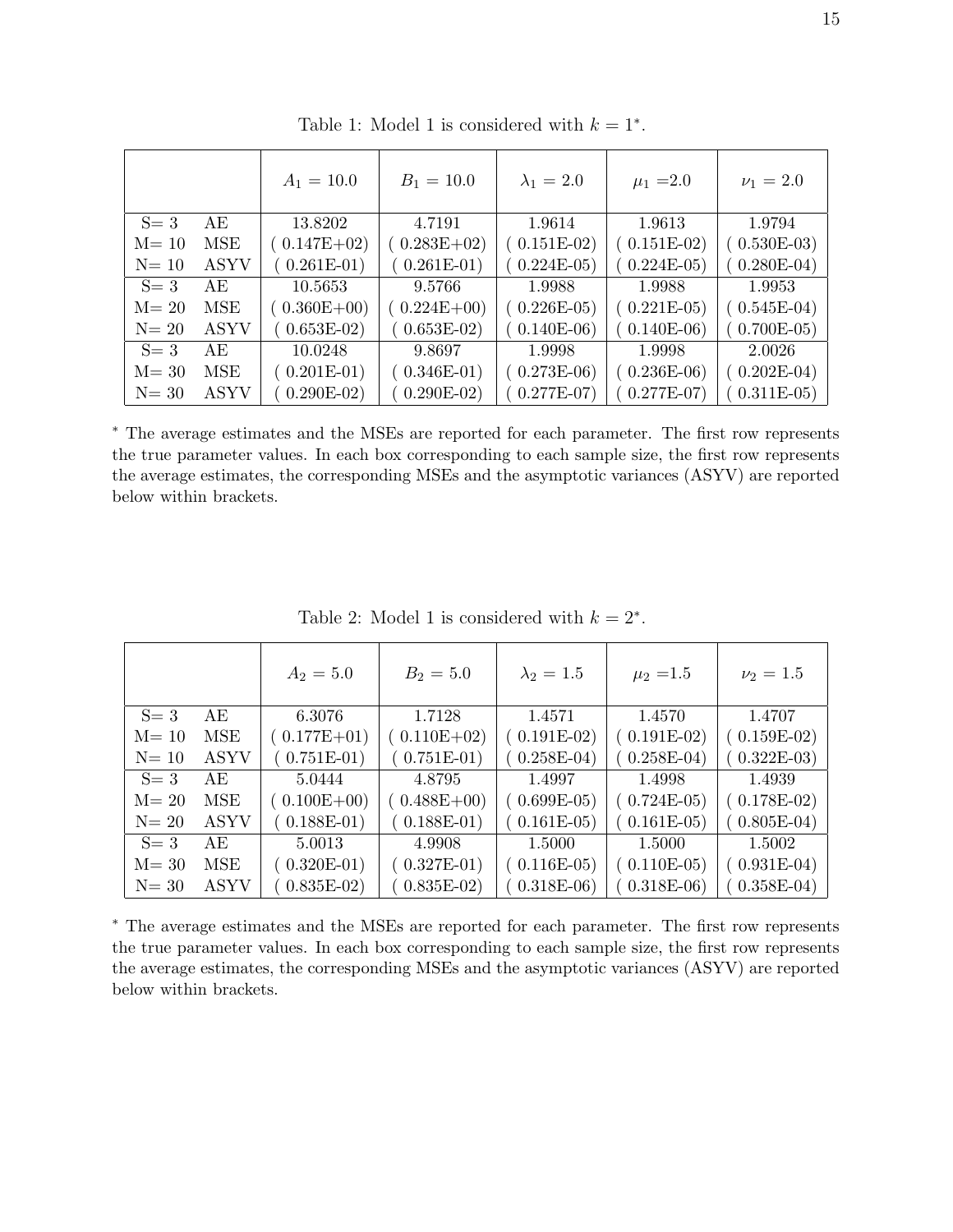|          |             | $A_1 = 10.0$    | $B_1 = 10.0$  | $\lambda_1 = 2.0$ | $\mu_1 = 2.0$ | $\nu_1 = 2.0$ |
|----------|-------------|-----------------|---------------|-------------------|---------------|---------------|
| $S=3$    | AE          | 13.8202         | 4.7191        | 1.9614            | 1.9613        | 1.9794        |
| $M = 10$ | MSE         | $(0.147E+02)$   | $0.283E+02$   | $(0.151E-02)$     | $(0.151E-02)$ | $0.530E-03$   |
| $N=10$   | <b>ASYV</b> | $0.261E-01)$    | $0.261E-01$   | $0.224E-05$       | $0.224E-05$   | $0.280E-04)$  |
| $S=3$    | AE          | 10.5653         | 9.5766        | 1.9988            | 1.9988        | 1.9953        |
| $M = 20$ | MSE         | $(0.360E + 00)$ | $0.224E + 00$ | $(0.226E-05)$     | $0.221E-05$   | $0.545E-04)$  |
| $N=20$   | <b>ASYV</b> | $0.653E-02)$    | $(0.653E-02)$ | $(0.140E-06)$     | $0.140E-06$   | $0.700E-05)$  |
| $S = 3$  | AE          | 10.0248         | 9.8697        | 1.9998            | 1.9998        | 2.0026        |
| $M = 30$ | MSE         | $0.201E-01)$    | $(0.346E-01)$ | $(0.273E-06)$     | $0.236E-06$   | $0.202E-04)$  |
| $N = 30$ | <b>ASYV</b> | $0.290E-02)$    | $0.290E-02$   | $0.277E-07$       | $0.277E-07$   | $0.311E-05)$  |

Table 1: Model 1 is considered with  $k = 1^*$ .

<sup>∗</sup> The average estimates and the MSEs are reported for each parameter. The first row represents the true parameter values. In each box corresponding to each sample size, the first row represents the average estimates, the corresponding MSEs and the asymptotic variances (ASYV) are reported below within brackets.

|          |             | $A_2 = 5.0$     | $B_2 = 5.0$   | $\lambda_2 = 1.5$ | $\mu_2 = 1.5$ | $\nu_2 = 1.5$ |
|----------|-------------|-----------------|---------------|-------------------|---------------|---------------|
| $S=3$    | AE          | 6.3076          | 1.7128        | 1.4571            | 1.4570        | 1.4707        |
| $M = 10$ | MSE         | $(0.177E+01)$   | $0.110E + 02$ | $(0.191E-02)$     | $(0.191E-02)$ | $0.159E-02)$  |
| $N=10$   | <b>ASYV</b> | $0.751E-01)$    | $0.751E-01$   | $0.258E-04)$      | $0.258E-04$   | $0.322E-03$   |
| $S=3$    | AE          | 5.0444          | 4.8795        | 1.4997            | 1.4998        | 1.4939        |
| $M = 20$ | MSE         | $(0.100E + 00)$ | $0.488E + 00$ | $(0.699E-05)$     | $0.724E-05$   | $0.178E-02$   |
| $N=20$   | <b>ASYV</b> | $(0.188E-01)$   | $(0.188E-01)$ | $(0.161E-05)$     | $0.161E-05$   | $0.805E-04)$  |
| $S=3$    | AE.         | 5.0013          | 4.9908        | 1.5000            | 1.5000        | 1.5002        |
| $M = 30$ | MSE         | $0.320E-01)$    | $(0.327E-01)$ | $(0.116E-05)$     | $0.110E-05$   | $0.931E-04)$  |
| $N = 30$ | <b>ASYV</b> | $0.835E-02$     | $0.835E-02$   | $0.318E-06$       | $0.318E-06$   | $0.358E-04$   |

Table 2: Model 1 is considered with  $k = 2^*$ .

<sup>∗</sup> The average estimates and the MSEs are reported for each parameter. The first row represents the true parameter values. In each box corresponding to each sample size, the first row represents the average estimates, the corresponding MSEs and the asymptotic variances (ASYV) are reported below within brackets.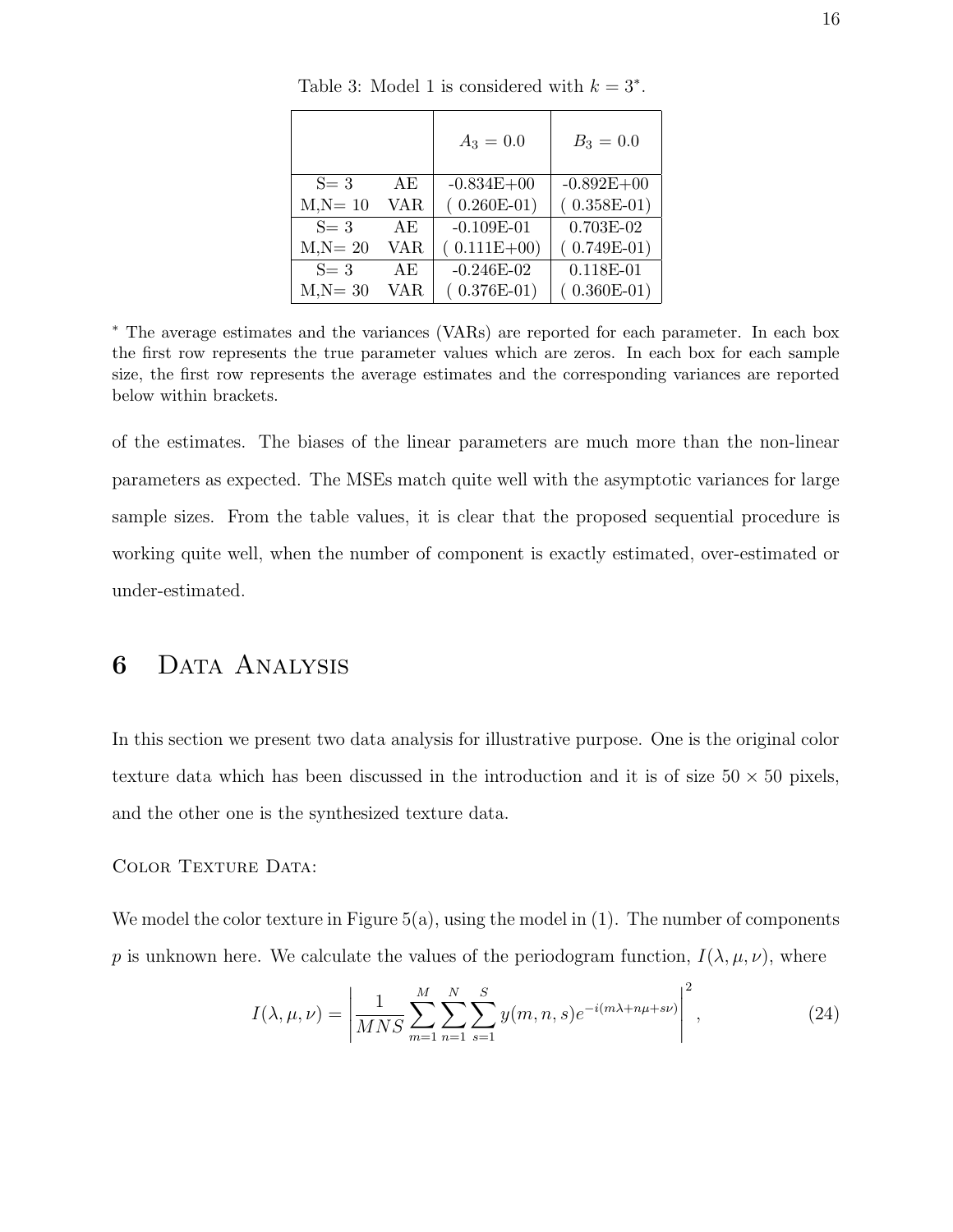|            |      | $A_3 = 0.0$    | $B_3 = 0.0$    |
|------------|------|----------------|----------------|
| $S = 3$    | AE   | $-0.834E + 00$ | $-0.892E + 00$ |
| $M,N=10$   | VAR. | $(0.260E-01)$  | $(0.358E-01)$  |
| $S = 3$    | AE   | $-0.109E-01$   | $0.703E-02$    |
| $M.N = 20$ | VAR. | $(0.111E+00)$  | $(0.749E-01)$  |
| $S=3$      | AE   | $-0.246E-02$   | $0.118E - 01$  |
| $M,N = 30$ | VAR. | $(0.376E-01)$  | $0.360E-01)$   |

Table 3: Model 1 is considered with  $k = 3^*$ .

<sup>∗</sup> The average estimates and the variances (VARs) are reported for each parameter. In each box the first row represents the true parameter values which are zeros. In each box for each sample size, the first row represents the average estimates and the corresponding variances are reported below within brackets.

of the estimates. The biases of the linear parameters are much more than the non-linear parameters as expected. The MSEs match quite well with the asymptotic variances for large sample sizes. From the table values, it is clear that the proposed sequential procedure is working quite well, when the number of component is exactly estimated, over-estimated or under-estimated.

### 6 Data Analysis

In this section we present two data analysis for illustrative purpose. One is the original color texture data which has been discussed in the introduction and it is of size  $50 \times 50$  pixels, and the other one is the synthesized texture data.

#### COLOR TEXTURE DATA:

We model the color texture in Figure  $5(a)$ , using the model in  $(1)$ . The number of components p is unknown here. We calculate the values of the periodogram function,  $I(\lambda, \mu, \nu)$ , where

$$
I(\lambda, \mu, \nu) = \left| \frac{1}{MNS} \sum_{m=1}^{M} \sum_{n=1}^{N} \sum_{s=1}^{S} y(m, n, s) e^{-i(m\lambda + n\mu + s\nu)} \right|^2,
$$
 (24)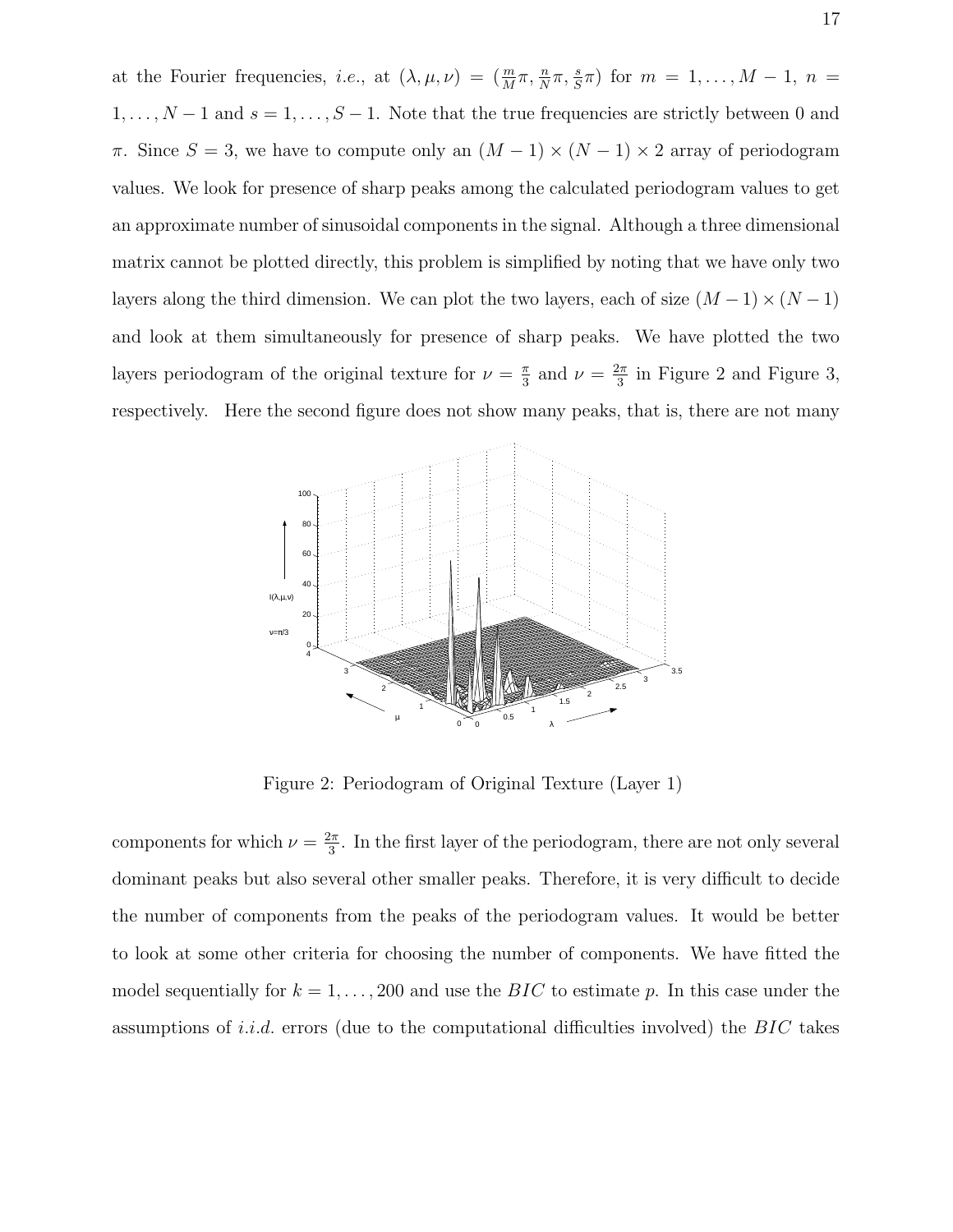at the Fourier frequencies, *i.e.*, at  $(\lambda, \mu, \nu) = \left(\frac{m}{M}\right)$  $\frac{m}{M}\pi, \frac{n}{N}$  $\frac{n}{N}\pi, \frac{s}{S}$  $(\frac{s}{S}\pi)$  for  $m = 1, ..., M - 1, n =$  $1, \ldots, N-1$  and  $s = 1, \ldots, S-1$ . Note that the true frequencies are strictly between 0 and  $\pi$ . Since  $S = 3$ , we have to compute only an  $(M - 1) \times (N - 1) \times 2$  array of periodogram values. We look for presence of sharp peaks among the calculated periodogram values to get an approximate number of sinusoidal components in the signal. Although a three dimensional matrix cannot be plotted directly, this problem is simplified by noting that we have only two layers along the third dimension. We can plot the two layers, each of size  $(M-1) \times (N-1)$ and look at them simultaneously for presence of sharp peaks. We have plotted the two layers periodogram of the original texture for  $\nu = \frac{\pi}{3}$  $\frac{\pi}{3}$  and  $\nu = \frac{2\pi}{3}$  $\frac{2\pi}{3}$  in Figure 2 and Figure 3, respectively. Here the second figure does not show many peaks, that is, there are not many



Figure 2: Periodogram of Original Texture (Layer 1)

components for which  $\nu = \frac{2\pi}{3}$  $\frac{2\pi}{3}$ . In the first layer of the periodogram, there are not only several dominant peaks but also several other smaller peaks. Therefore, it is very difficult to decide the number of components from the peaks of the periodogram values. It would be better to look at some other criteria for choosing the number of components. We have fitted the model sequentially for  $k = 1, \ldots, 200$  and use the BIC to estimate p. In this case under the assumptions of *i.i.d.* errors (due to the computational difficulties involved) the  $BIC$  takes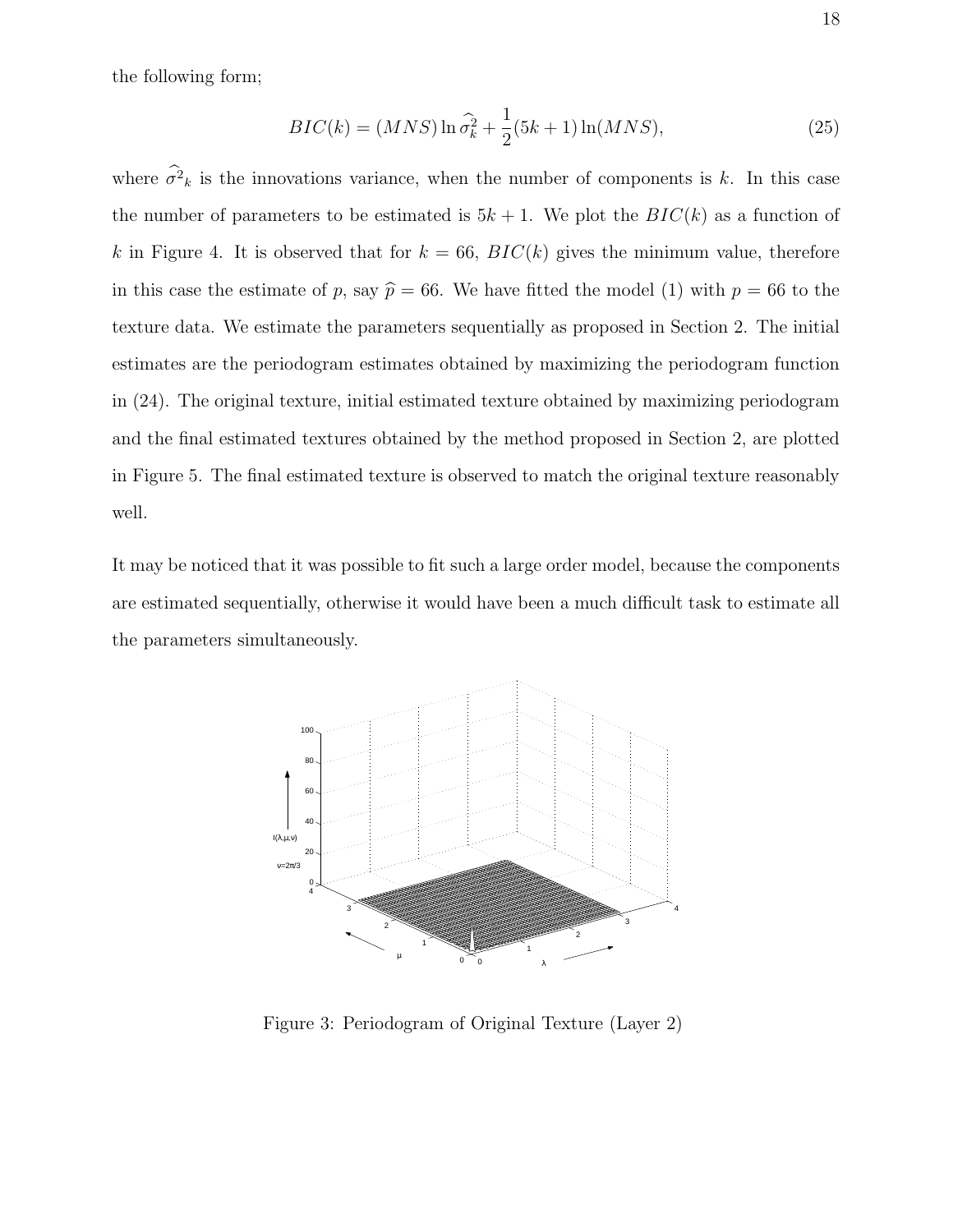the following form;

$$
BIC(k) = (MNS)\ln\hat{\sigma}_k^2 + \frac{1}{2}(5k+1)\ln(MNS),
$$
\n(25)

where  $\sigma^2_k$  is the innovations variance, when the number of components is k. In this case the number of parameters to be estimated is  $5k + 1$ . We plot the  $BIC(k)$  as a function of k in Figure 4. It is observed that for  $k = 66$ ,  $BIC(k)$  gives the minimum value, therefore in this case the estimate of p, say  $\hat{p} = 66$ . We have fitted the model (1) with  $p = 66$  to the texture data. We estimate the parameters sequentially as proposed in Section 2. The initial estimates are the periodogram estimates obtained by maximizing the periodogram function in (24). The original texture, initial estimated texture obtained by maximizing periodogram and the final estimated textures obtained by the method proposed in Section 2, are plotted in Figure 5. The final estimated texture is observed to match the original texture reasonably well.

It may be noticed that it was possible to fit such a large order model, because the components are estimated sequentially, otherwise it would have been a much difficult task to estimate all the parameters simultaneously.



Figure 3: Periodogram of Original Texture (Layer 2)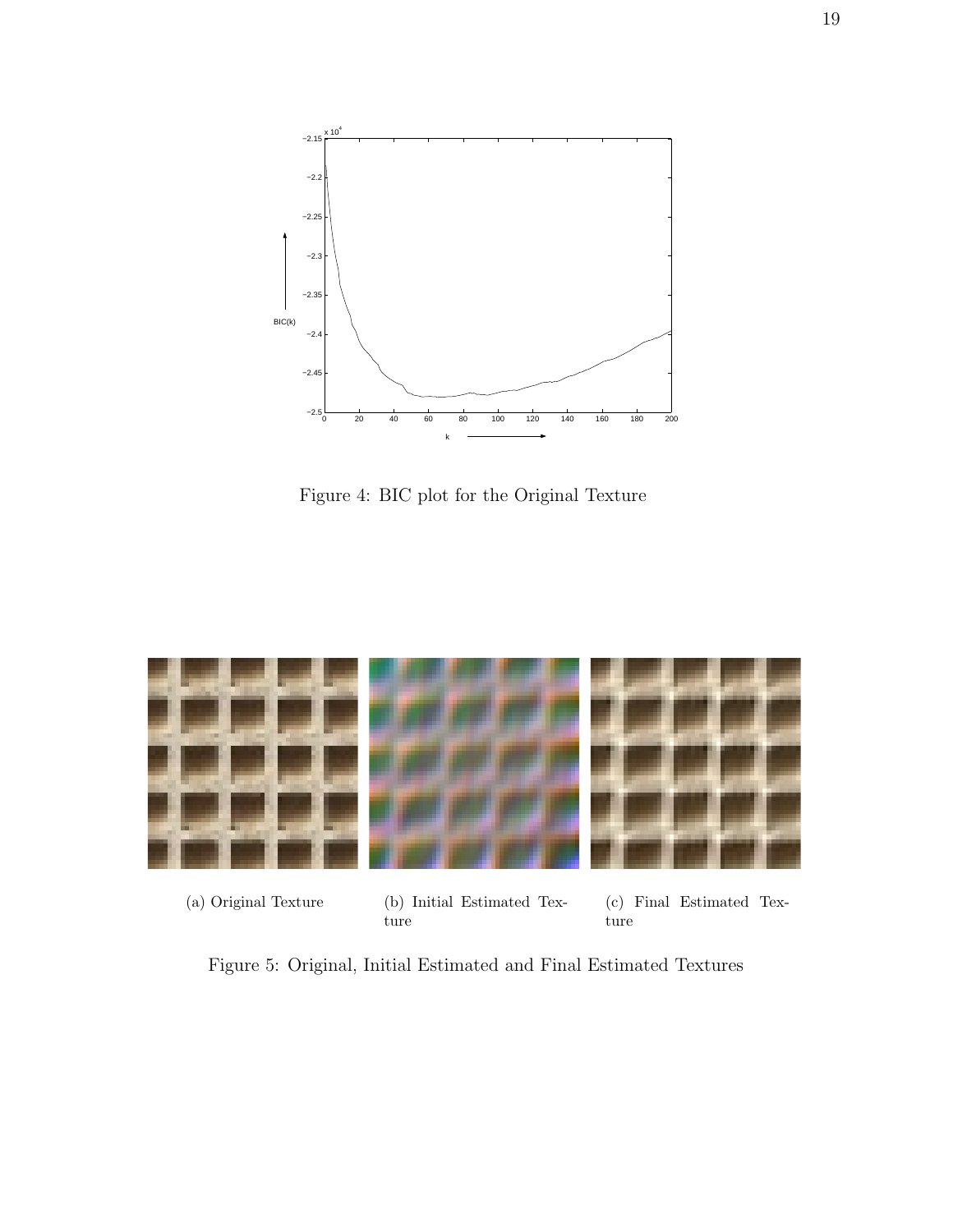

Figure 4: BIC plot for the Original Texture



(a) Original Texture (b) Initial Estimated Texture

(c) Final Estimated Texture

Figure 5: Original, Initial Estimated and Final Estimated Textures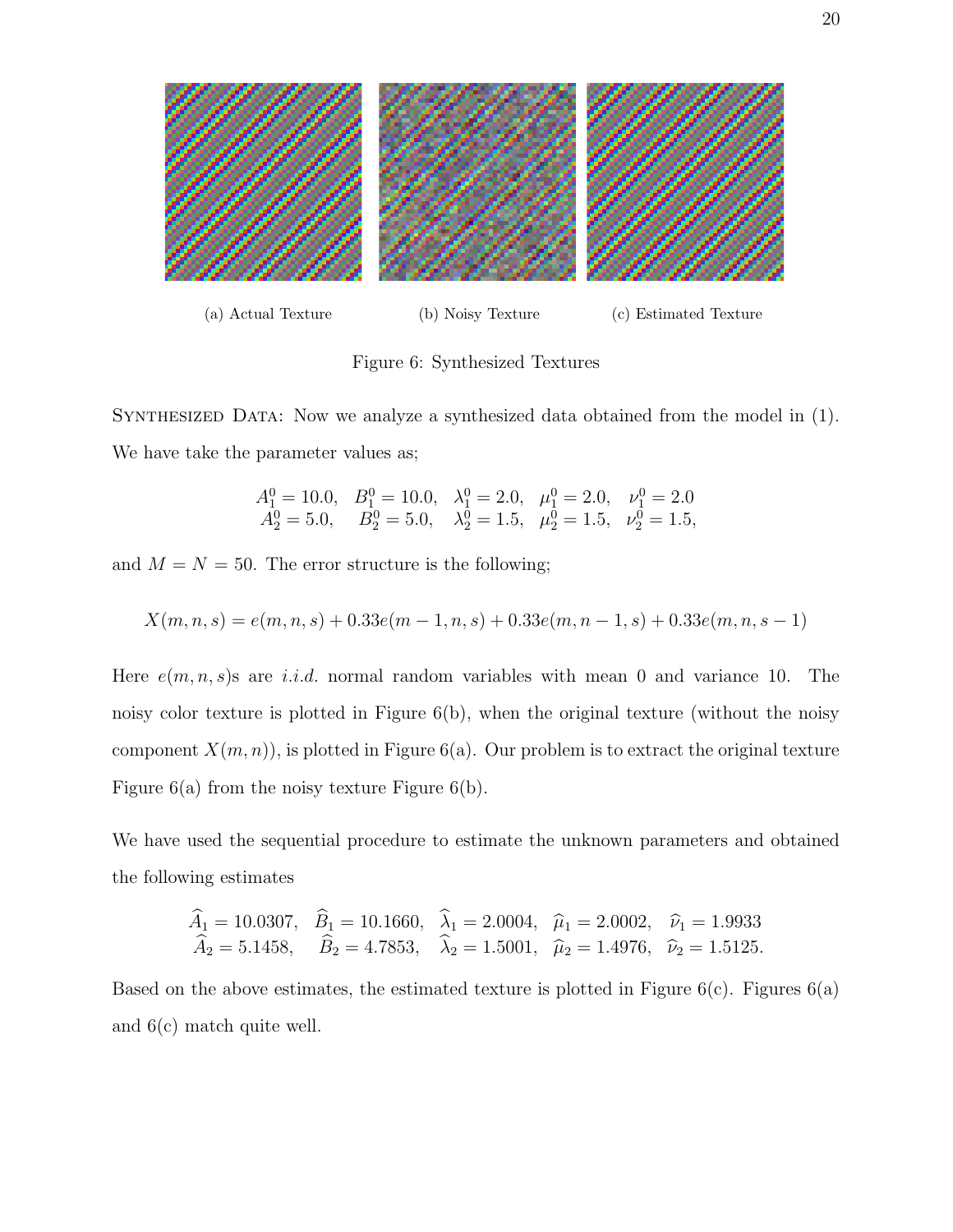

Figure 6: Synthesized Textures

Synthesized Data: Now we analyze a synthesized data obtained from the model in (1). We have take the parameter values as;

$$
\begin{array}{lllll}\nA_1^0 = 10.0, & B_1^0 = 10.0, & \lambda_1^0 = 2.0, & \mu_1^0 = 2.0, & \nu_1^0 = 2.0 \\
A_2^0 = 5.0, & B_2^0 = 5.0, & \lambda_2^0 = 1.5, & \mu_2^0 = 1.5, & \nu_2^0 = 1.5,\n\end{array}
$$

and  $M = N = 50$ . The error structure is the following;

$$
X(m, n, s) = e(m, n, s) + 0.33e(m - 1, n, s) + 0.33e(m, n - 1, s) + 0.33e(m, n, s - 1)
$$

Here  $e(m, n, s)$ s are *i.i.d.* normal random variables with mean 0 and variance 10. The noisy color texture is plotted in Figure 6(b), when the original texture (without the noisy component  $X(m, n)$ , is plotted in Figure 6(a). Our problem is to extract the original texture Figure 6(a) from the noisy texture Figure 6(b).

We have used the sequential procedure to estimate the unknown parameters and obtained the following estimates

$$
\widehat{A}_1 = 10.0307
$$
,  $\widehat{B}_1 = 10.1660$ ,  $\widehat{\lambda}_1 = 2.0004$ ,  $\widehat{\mu}_1 = 2.0002$ ,  $\widehat{\nu}_1 = 1.9933$   
\n $\widehat{A}_2 = 5.1458$ ,  $\widehat{B}_2 = 4.7853$ ,  $\widehat{\lambda}_2 = 1.5001$ ,  $\widehat{\mu}_2 = 1.4976$ ,  $\widehat{\nu}_2 = 1.5125$ .

Based on the above estimates, the estimated texture is plotted in Figure  $6(c)$ . Figures  $6(a)$ and 6(c) match quite well.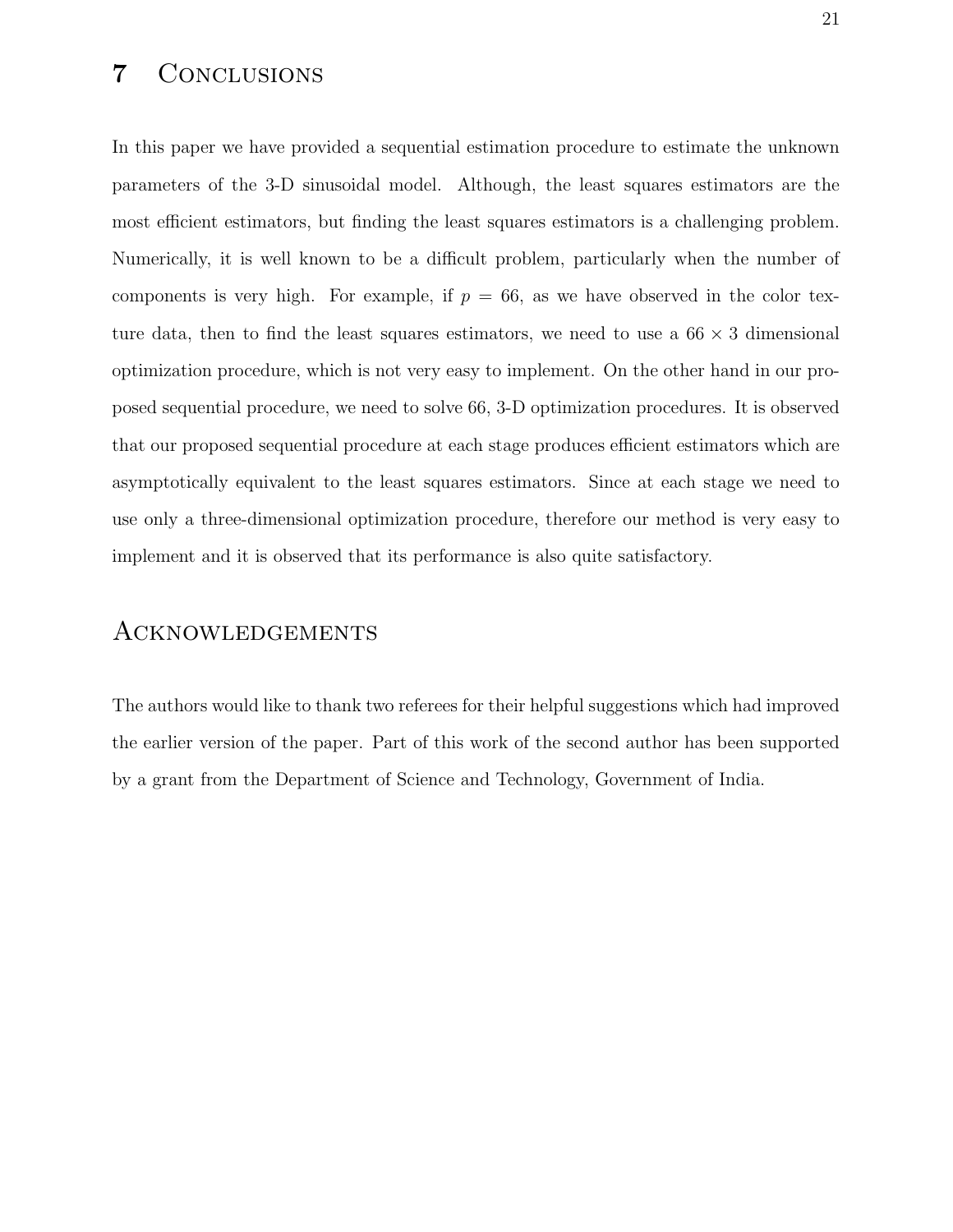### 7 Conclusions

In this paper we have provided a sequential estimation procedure to estimate the unknown parameters of the 3-D sinusoidal model. Although, the least squares estimators are the most efficient estimators, but finding the least squares estimators is a challenging problem. Numerically, it is well known to be a difficult problem, particularly when the number of components is very high. For example, if  $p = 66$ , as we have observed in the color texture data, then to find the least squares estimators, we need to use a  $66 \times 3$  dimensional optimization procedure, which is not very easy to implement. On the other hand in our proposed sequential procedure, we need to solve 66, 3-D optimization procedures. It is observed that our proposed sequential procedure at each stage produces efficient estimators which are asymptotically equivalent to the least squares estimators. Since at each stage we need to use only a three-dimensional optimization procedure, therefore our method is very easy to implement and it is observed that its performance is also quite satisfactory.

### Acknowledgements

The authors would like to thank two referees for their helpful suggestions which had improved the earlier version of the paper. Part of this work of the second author has been supported by a grant from the Department of Science and Technology, Government of India.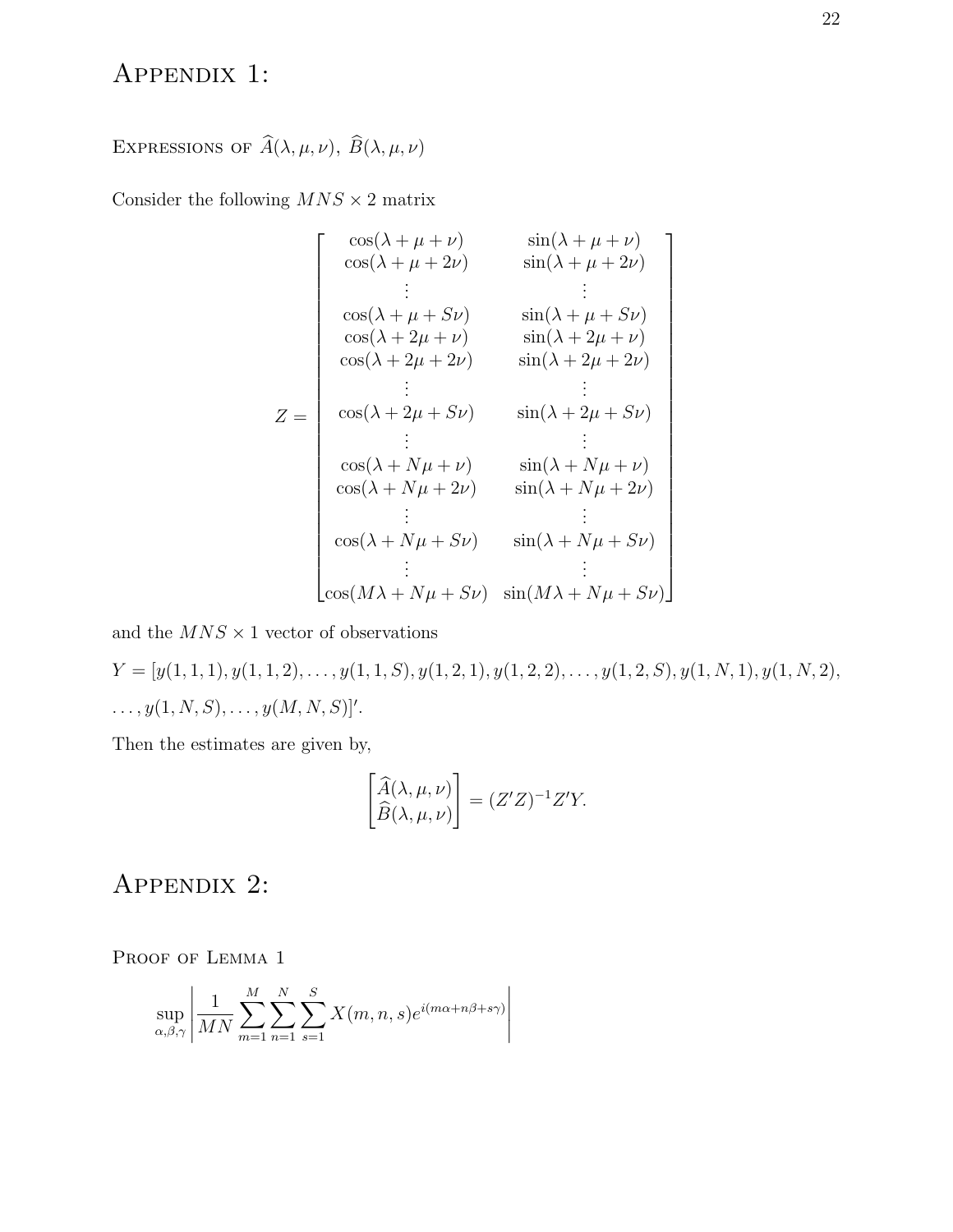## Appendix 1:

# EXPRESSIONS OF  $\widehat{A}(\lambda, \mu, \nu)$ ,  $\widehat{B}(\lambda, \mu, \nu)$

Consider the following  $MNS \times 2$  matrix

$$
Z = \begin{bmatrix} \cos(\lambda + \mu + \nu) & \sin(\lambda + \mu + \nu) \\ \cos(\lambda + \mu + 2\nu) & \sin(\lambda + \mu + 2\nu) \\ \vdots & \vdots \\ \cos(\lambda + \mu + S\nu) & \sin(\lambda + \mu + S\nu) \\ \cos(\lambda + 2\mu + \nu) & \sin(\lambda + 2\mu + \nu) \\ \cos(\lambda + 2\mu + 2\nu) & \sin(\lambda + 2\mu + 2\nu) \\ \vdots & \vdots \\ \cos(\lambda + 2\mu + S\nu) & \sin(\lambda + 2\mu + S\nu) \\ \vdots & \vdots \\ \cos(\lambda + N\mu + \nu) & \sin(\lambda + N\mu + \nu) \\ \vdots & \vdots & \vdots \\ \cos(\lambda + N\mu + S\nu) & \sin(\lambda + N\mu + S\nu) \\ \vdots & \vdots & \vdots \\ \cos(M\lambda + N\mu + S\nu) & \sin(M\lambda + N\mu + S\nu) \end{bmatrix}
$$

and the  $MNS \times 1$  vector of observations

 $Y = [y(1, 1, 1), y(1, 1, 2), \ldots, y(1, 1, S), y(1, 2, 1), y(1, 2, 2), \ldots, y(1, 2, S), y(1, N, 1), y(1, N, 2),$  $\ldots, y(1, N, S), \ldots, y(M, N, S)$ '.

Then the estimates are given by,

$$
\begin{bmatrix}\n\widehat{A}(\lambda,\mu,\nu) \\
\widehat{B}(\lambda,\mu,\nu)\n\end{bmatrix} = (Z'Z)^{-1}Z'Y.
$$

## Appendix 2:

PROOF OF LEMMA 1

$$
\sup_{\alpha,\beta,\gamma} \left| \frac{1}{MN} \sum_{m=1}^{M} \sum_{n=1}^{N} \sum_{s=1}^{S} X(m,n,s) e^{i(m\alpha + n\beta + s\gamma)} \right|
$$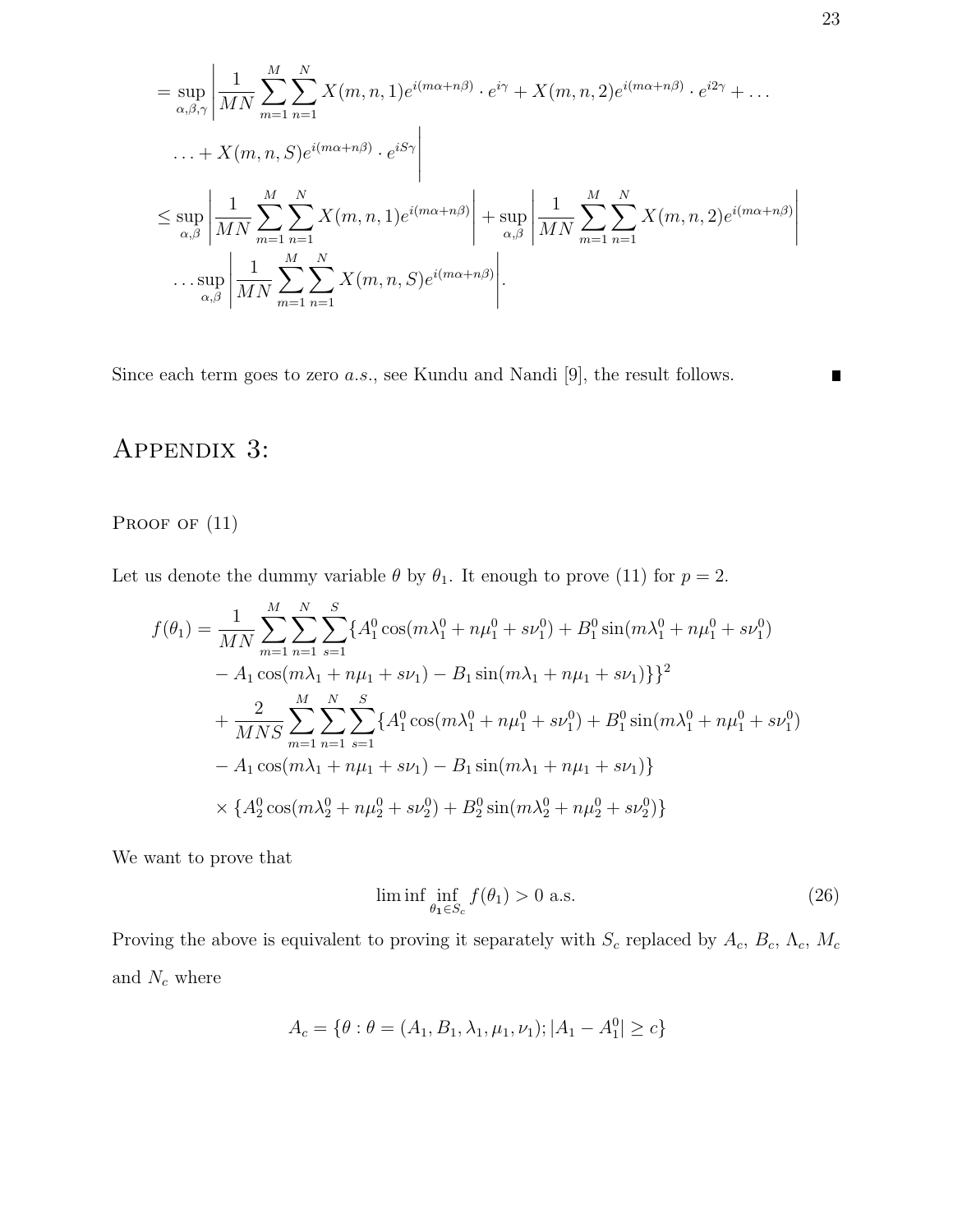$$
= \sup_{\alpha,\beta,\gamma} \left| \frac{1}{MN} \sum_{m=1}^{M} \sum_{n=1}^{N} X(m,n,1) e^{i(m\alpha+n\beta)} \cdot e^{i\gamma} + X(m,n,2) e^{i(m\alpha+n\beta)} \cdot e^{i2\gamma} + \dots \right|
$$
  
 
$$
\dots + X(m,n,S) e^{i(m\alpha+n\beta)} \cdot e^{iS\gamma} \right|
$$
  

$$
\leq \sup_{\alpha,\beta} \left| \frac{1}{MN} \sum_{m=1}^{M} \sum_{n=1}^{N} X(m,n,1) e^{i(m\alpha+n\beta)} \right| + \sup_{\alpha,\beta} \left| \frac{1}{MN} \sum_{m=1}^{M} \sum_{n=1}^{N} X(m,n,2) e^{i(m\alpha+n\beta)} \right|
$$
  

$$
\dots \sup_{\alpha,\beta} \left| \frac{1}{MN} \sum_{m=1}^{M} \sum_{n=1}^{N} X(m,n,S) e^{i(m\alpha+n\beta)} \right|.
$$

Since each term goes to zero a.s., see Kundu and Nandi [9], the result follows.

## Appendix 3:

#### PROOF OF  $(11)$

Let us denote the dummy variable  $\theta$  by  $\theta_1$ . It enough to prove (11) for  $p = 2$ .

$$
f(\theta_1) = \frac{1}{MN} \sum_{m=1}^{M} \sum_{n=1}^{N} \sum_{s=1}^{S} \{A_1^0 \cos(m\lambda_1^0 + n\mu_1^0 + s\nu_1^0) + B_1^0 \sin(m\lambda_1^0 + n\mu_1^0 + s\nu_1^0) - A_1 \cos(m\lambda_1 + n\mu_1 + s\nu_1) - B_1 \sin(m\lambda_1 + n\mu_1 + s\nu_1)\}\}+ \frac{2}{MNS} \sum_{m=1}^{M} \sum_{n=1}^{N} \sum_{s=1}^{S} \{A_1^0 \cos(m\lambda_1^0 + n\mu_1^0 + s\nu_1^0) + B_1^0 \sin(m\lambda_1^0 + n\mu_1^0 + s\nu_1^0) - A_1 \cos(m\lambda_1 + n\mu_1 + s\nu_1) - B_1 \sin(m\lambda_1 + n\mu_1 + s\nu_1)\}\times \{A_2^0 \cos(m\lambda_2^0 + n\mu_2^0 + s\nu_2^0) + B_2^0 \sin(m\lambda_2^0 + n\mu_2^0 + s\nu_2^0)\}\
$$

We want to prove that

$$
\liminf_{\theta_1 \in S_c} f(\theta_1) > 0 \text{ a.s.}
$$
\n(26)

Proving the above is equivalent to proving it separately with  $S_c$  replaced by  $A_c$ ,  $B_c$ ,  $\Lambda_c$ ,  $M_c$ and  $\mathcal{N}_c$  where

$$
A_c = \{ \theta : \theta = (A_1, B_1, \lambda_1, \mu_1, \nu_1); |A_1 - A_1^0| \ge c \}
$$

 $\blacksquare$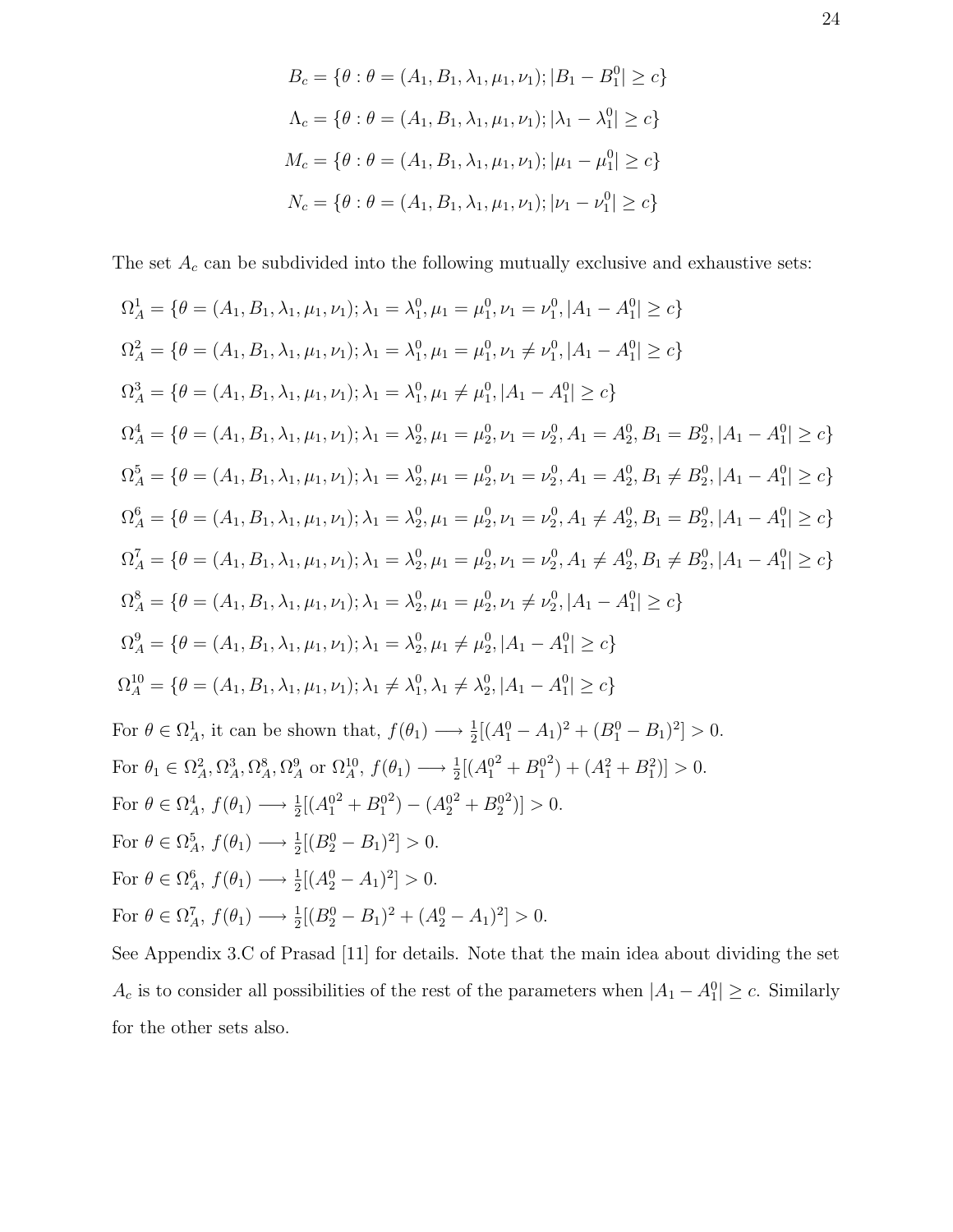$$
B_c = \{ \theta : \theta = (A_1, B_1, \lambda_1, \mu_1, \nu_1); |B_1 - B_1^0| \ge c \}
$$
  

$$
\Lambda_c = \{ \theta : \theta = (A_1, B_1, \lambda_1, \mu_1, \nu_1); |\lambda_1 - \lambda_1^0| \ge c \}
$$
  

$$
M_c = \{ \theta : \theta = (A_1, B_1, \lambda_1, \mu_1, \nu_1); |\mu_1 - \mu_1^0| \ge c \}
$$
  

$$
N_c = \{ \theta : \theta = (A_1, B_1, \lambda_1, \mu_1, \nu_1); |\nu_1 - \nu_1^0| \ge c \}
$$

The set  $A_c$  can be subdivided into the following mutually exclusive and exhaustive sets:

$$
\Omega_A^1 = \{ \theta = (A_1, B_1, \lambda_1, \mu_1, \nu_1); \lambda_1 = \lambda_1^0, \mu_1 = \mu_1^0, \nu_1 = \nu_1^0, |A_1 - A_1^0| \ge c \}
$$
\n
$$
\Omega_A^2 = \{ \theta = (A_1, B_1, \lambda_1, \mu_1, \nu_1); \lambda_1 = \lambda_1^0, \mu_1 = \mu_1^0, \nu_1 \neq \nu_1^0, |A_1 - A_1^0| \ge c \}
$$
\n
$$
\Omega_A^3 = \{ \theta = (A_1, B_1, \lambda_1, \mu_1, \nu_1); \lambda_1 = \lambda_1^0, \mu_1 \neq \mu_1^0, |A_1 - A_1^0| \ge c \}
$$
\n
$$
\Omega_A^4 = \{ \theta = (A_1, B_1, \lambda_1, \mu_1, \nu_1); \lambda_1 = \lambda_2^0, \mu_1 = \mu_2^0, \nu_1 = \nu_2^0, A_1 = A_2^0, B_1 = B_2^0, |A_1 - A_1^0| \ge c \}
$$
\n
$$
\Omega_A^5 = \{ \theta = (A_1, B_1, \lambda_1, \mu_1, \nu_1); \lambda_1 = \lambda_2^0, \mu_1 = \mu_2^0, \nu_1 = \nu_2^0, A_1 = A_2^0, B_1 \neq B_2^0, |A_1 - A_1^0| \ge c \}
$$
\n
$$
\Omega_A^7 = \{ \theta = (A_1, B_1, \lambda_1, \mu_1, \nu_1); \lambda_1 = \lambda_2^0, \mu_1 = \mu_2^0, \nu_1 = \nu_2^0, A_1 \neq A_2^0, B_1 = B_2^0, |A_1 - A_1^0| \ge c \}
$$
\n
$$
\Omega_A^7 = \{ \theta = (A_1, B_1, \lambda_1, \mu_1, \nu_1); \lambda_1 = \lambda_2^0, \mu_1 = \mu_2^0, \nu_1 = \nu_2^0, A_1 \neq A_2^0, B_1 \neq B_2^0, |A_1 - A_1^0| \ge c \}
$$
\n
$$
\Omega_A^8 = \{ \theta = (A_1
$$

See Appendix 3.C of Prasad [11] for details. Note that the main idea about dividing the set  $A_c$  is to consider all possibilities of the rest of the parameters when  $|A_1 - A_1^0| \ge c$ . Similarly for the other sets also.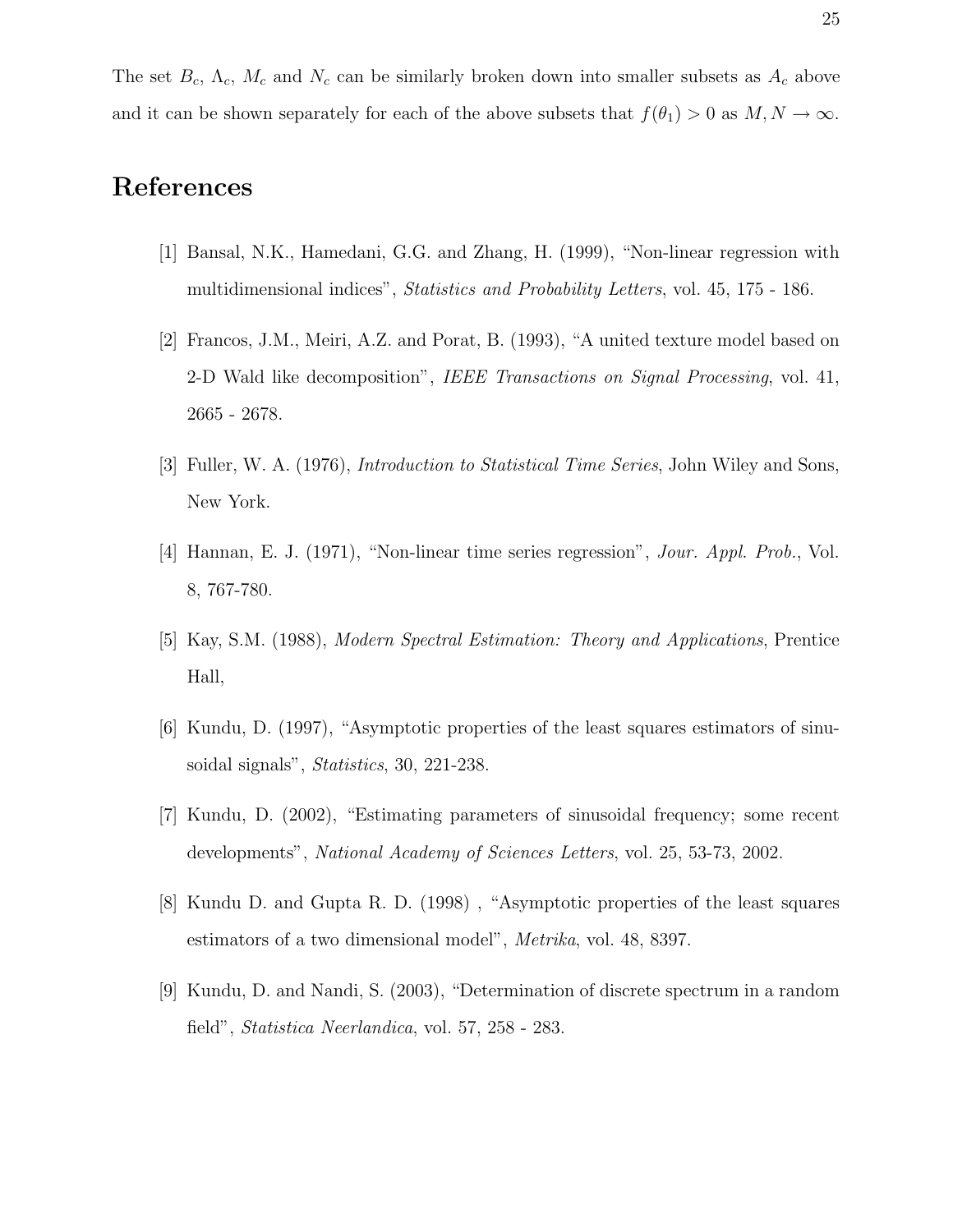The set  $B_c$ ,  $\Lambda_c$ ,  $M_c$  and  $N_c$  can be similarly broken down into smaller subsets as  $A_c$  above and it can be shown separately for each of the above subsets that  $f(\theta_1) > 0$  as  $M, N \to \infty$ .

## References

- [1] Bansal, N.K., Hamedani, G.G. and Zhang, H. (1999), "Non-linear regression with multidimensional indices", Statistics and Probability Letters, vol. 45, 175 - 186.
- [2] Francos, J.M., Meiri, A.Z. and Porat, B. (1993), "A united texture model based on 2-D Wald like decomposition", IEEE Transactions on Signal Processing, vol. 41, 2665 - 2678.
- [3] Fuller, W. A. (1976), Introduction to Statistical Time Series, John Wiley and Sons, New York.
- [4] Hannan, E. J. (1971), "Non-linear time series regression", Jour. Appl. Prob., Vol. 8, 767-780.
- [5] Kay, S.M. (1988), Modern Spectral Estimation: Theory and Applications, Prentice Hall,
- [6] Kundu, D. (1997), "Asymptotic properties of the least squares estimators of sinusoidal signals", Statistics, 30, 221-238.
- [7] Kundu, D. (2002), "Estimating parameters of sinusoidal frequency; some recent developments", National Academy of Sciences Letters, vol. 25, 53-73, 2002.
- [8] Kundu D. and Gupta R. D. (1998) , "Asymptotic properties of the least squares estimators of a two dimensional model", Metrika, vol. 48, 8397.
- [9] Kundu, D. and Nandi, S. (2003), "Determination of discrete spectrum in a random field", Statistica Neerlandica, vol. 57, 258 - 283.